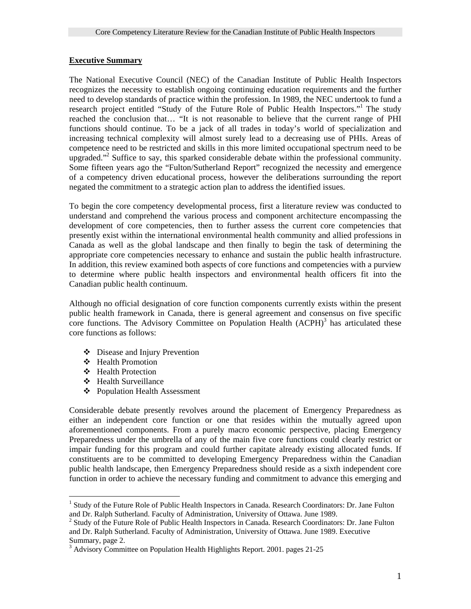#### **Executive Summary**

The National Executive Council (NEC) of the Canadian Institute of Public Health Inspectors recognizes the necessity to establish ongoing continuing education requirements and the further need to develop standards of practice within the profession. In 1989, the NEC undertook to fund a research project entitled "Study of the Future Role of Public Health Inspectors."<sup>[1](#page-0-0)</sup> The study reached the conclusion that… "It is not reasonable to believe that the current range of PHI functions should continue. To be a jack of all trades in today's world of specialization and increasing technical complexity will almost surely lead to a decreasing use of PHIs. Areas of competence need to be restricted and skills in this more limited occupational spectrum need to be upgraded."<sup>[2](#page-0-1)</sup> Suffice to say, this sparked considerable debate within the professional community. Some fifteen years ago the "Fulton/Sutherland Report" recognized the necessity and emergence of a competency driven educational process, however the deliberations surrounding the report negated the commitment to a strategic action plan to address the identified issues.

To begin the core competency developmental process, first a literature review was conducted to understand and comprehend the various process and component architecture encompassing the development of core competencies, then to further assess the current core competencies that presently exist within the international environmental health community and allied professions in Canada as well as the global landscape and then finally to begin the task of determining the appropriate core competencies necessary to enhance and sustain the public health infrastructure. In addition, this review examined both aspects of core functions and competencies with a purview to determine where public health inspectors and environmental health officers fit into the Canadian public health continuum.

Although no official designation of core function components currently exists within the present public health framework in Canada, there is general agreement and consensus on five specific core functions. The Advisory Committee on Population Health  $(ACPH)^3$  $(ACPH)^3$  has articulated these core functions as follows:

- Disease and Injury Prevention
- Health Promotion
- Health Protection
- Health Surveillance
- Population Health Assessment

Considerable debate presently revolves around the placement of Emergency Preparedness as either an independent core function or one that resides within the mutually agreed upon aforementioned components. From a purely macro economic perspective, placing Emergency Preparedness under the umbrella of any of the main five core functions could clearly restrict or impair funding for this program and could further capitate already existing allocated funds. If constituents are to be committed to developing Emergency Preparedness within the Canadian public health landscape, then Emergency Preparedness should reside as a sixth independent core function in order to achieve the necessary funding and commitment to advance this emerging and

<span id="page-0-0"></span> $\overline{a}$ <sup>1</sup> Study of the Future Role of Public Health Inspectors in Canada. Research Coordinators: Dr. Jane Fulton and Dr. Ralph Sutherland. Faculty of Administration, University of Ottawa. June 1989. 2

<span id="page-0-1"></span><sup>&</sup>lt;sup>2</sup> Study of the Future Role of Public Health Inspectors in Canada. Research Coordinators: Dr. Jane Fulton and Dr. Ralph Sutherland. Faculty of Administration, University of Ottawa. June 1989. Executive Summary, page 2.

<span id="page-0-2"></span> $3$  Advisory Committee on Population Health Highlights Report. 2001. pages 21-25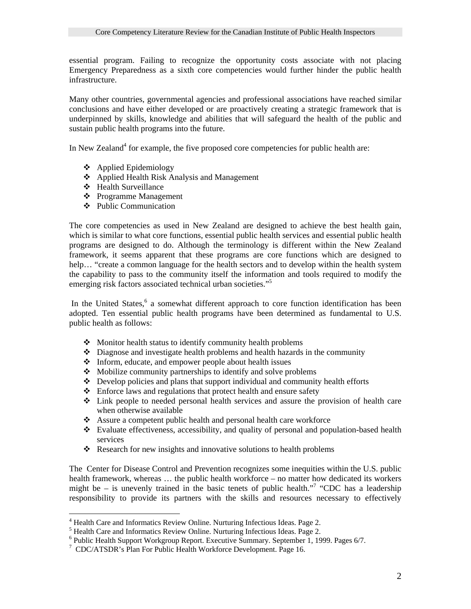essential program. Failing to recognize the opportunity costs associate with not placing Emergency Preparedness as a sixth core competencies would further hinder the public health infrastructure.

Many other countries, governmental agencies and professional associations have reached similar conclusions and have either developed or are proactively creating a strategic framework that is underpinned by skills, knowledge and abilities that will safeguard the health of the public and sustain public health programs into the future.

In New Zealand<sup>[4](#page-1-0)</sup> for example, the five proposed core competencies for public health are:

- Applied Epidemiology
- Applied Health Risk Analysis and Management
- ❖ Health Surveillance

 $\overline{a}$ 

- Programme Management
- Public Communication

The core competencies as used in New Zealand are designed to achieve the best health gain, which is similar to what core functions, essential public health services and essential public health programs are designed to do. Although the terminology is different within the New Zealand framework, it seems apparent that these programs are core functions which are designed to help... "create a common language for the health sectors and to develop within the health system the capability to pass to the community itself the information and tools required to modify the emerging risk factors associated technical urban societies."<sup>[5](#page-1-1)</sup>

In the United States,<sup>[6](#page-1-2)</sup> a somewhat different approach to core function identification has been adopted. Ten essential public health programs have been determined as fundamental to U.S. public health as follows:

- $\triangle$  Monitor health status to identify community health problems
- $\triangle$  Diagnose and investigate health problems and health hazards in the community
- Inform, educate, and empower people about health issues
- $\triangle$  Mobilize community partnerships to identify and solve problems
- $\triangle$  Develop policies and plans that support individual and community health efforts
- $\triangle$  Enforce laws and regulations that protect health and ensure safety
- $\div$  Link people to needed personal health services and assure the provision of health care when otherwise available
- Assure a competent public health and personal health care workforce
- Evaluate effectiveness, accessibility, and quality of personal and population-based health services
- $\triangleleft$  Research for new insights and innovative solutions to health problems

The Center for Disease Control and Prevention recognizes some inequities within the U.S. public health framework, whereas … the public health workforce – no matter how dedicated its workers mightbe – is unevenly trained in the basic tenets of public health."<sup>7</sup> "CDC has a leadership responsibility to provide its partners with the skills and resources necessary to effectively

<span id="page-1-0"></span><sup>&</sup>lt;sup>4</sup> Health Care and Informatics Review Online. Nurturing Infectious Ideas. Page 2. <sup>4</sup> Health Care and Informatics Review Online. Nurturing Infectious Ideas. Page 2.  $^5$  Hoalth Care and Informatics Bayiou: Online. Nurturing Infectious Ideas. Page 2.

<span id="page-1-1"></span> $\frac{1}{6}$  Health Care and Informatics Review Online. Nurturing Infectious Ideas. Page 2.  $\frac{1}{6}$  Public Health Support Workgroup Benert, Executive Support, September 1, 10.

<span id="page-1-2"></span> $6$  Public Health Support Workgroup Report. Executive Summary. September 1, 1999. Pages 6/7.

<span id="page-1-3"></span><sup>&</sup>lt;sup>7</sup> CDC/ATSDR's Plan For Public Health Workforce Development. Page 16.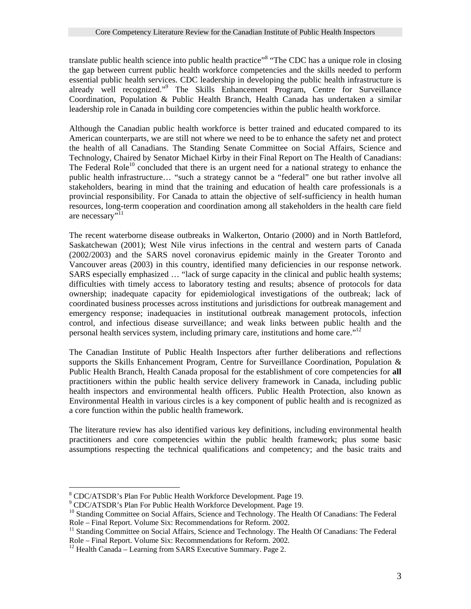translate public health science into public health practice"<sup>8</sup> ["](#page-2-0)The CDC has a unique role in closing the gap between current public health workforce competencies and the skills needed to perform essential public health services. CDC leadership in developing the public health infrastructure is already well recognized."<sup>9</sup> The Skills Enhancement Program, Centre for Surveillance Coordination, Population & Public Health Branch, Health Canada has undertaken a similar leadership role in Canada in building core competencies within the public health workforce.

Although the Canadian public health workforce is better trained and educated compared to its American counterparts, we are still not where we need to be to enhance the safety net and protect the health of all Canadians. The Standing Senate Committee on Social Affairs, Science and Technology, Chaired by Senator Michael Kirby in their Final Report on The Health of Canadians: The Federal Role<sup>10</sup> concluded that there is an urgent need for a national strategy to enhance the public health infrastructure… "such a strategy cannot be a "federal" one but rather involve all stakeholders, bearing in mind that the training and education of health care professionals is a provincial responsibility. For Canada to attain the objective of self-sufficiency in health human resources, long-term cooperation and coordination among all stakeholders in the health care field are necessary"<sup>[11](#page-2-3)</sup>

The recent waterborne disease outbreaks in Walkerton, Ontario (2000) and in North Battleford, Saskatchewan (2001); West Nile virus infections in the central and western parts of Canada (2002/2003) and the SARS novel coronavirus epidemic mainly in the Greater Toronto and Vancouver areas (2003) in this country, identified many deficiencies in our response network. SARS especially emphasized … "lack of surge capacity in the clinical and public health systems; difficulties with timely access to laboratory testing and results; absence of protocols for data ownership; inadequate capacity for epidemiological investigations of the outbreak; lack of coordinated business processes across institutions and jurisdictions for outbreak management and emergency response; inadequacies in institutional outbreak management protocols, infection control, and infectious disease surveillance; and weak links between public health and the personal health services system, including primary care, institutions and home care."[12](#page-2-4)

The Canadian Institute of Public Health Inspectors after further deliberations and reflections supports the Skills Enhancement Program, Centre for Surveillance Coordination, Population & Public Health Branch, Health Canada proposal for the establishment of core competencies for **all**  practitioners within the public health service delivery framework in Canada, including public health inspectors and environmental health officers. Public Health Protection, also known as Environmental Health in various circles is a key component of public health and is recognized as a core function within the public health framework.

The literature review has also identified various key definitions, including environmental health practitioners and core competencies within the public health framework; plus some basic assumptions respecting the technical qualifications and competency; and the basic traits and

 $\overline{a}$ <sup>8</sup> CDC/ATSDR's Plan For Public Health Workforce Development. Page 19.

<span id="page-2-1"></span><span id="page-2-0"></span><sup>&</sup>lt;sup>9</sup> CDC/ATSDR's Plan For Public Health Workforce Development. Page 19.

<span id="page-2-2"></span><sup>&</sup>lt;sup>10</sup> Standing Committee on Social Affairs, Science and Technology. The Health Of Canadians: The Federal Role – Final Report. Volume Six: Recommendations for Reform. 2002.<br><sup>11</sup> Standing Committee on Social Affairs, Science and Technology. The Health Of Canadians: The Federal

<span id="page-2-3"></span>Role – Final Report. Volume Six: Recommendations for Reform. 2002.<br><sup>12</sup> Health Canada – Learning from SARS Executive Summary. Page 2.

<span id="page-2-4"></span>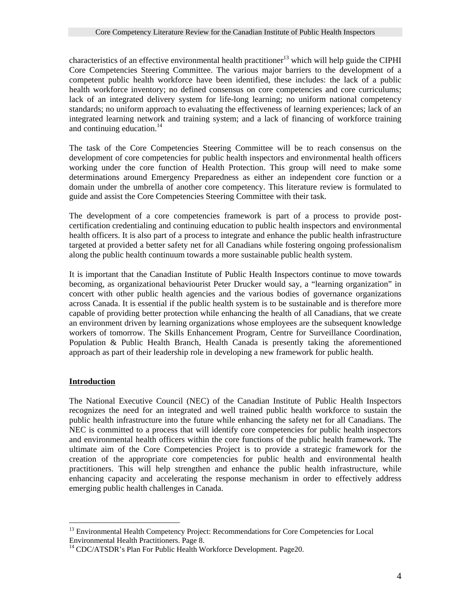characteristics of an effective environmental health practitioner<sup>13</sup> which will help guide the CIPHI Core Competencies Steering Committee. The various major barriers to the development of a competent public health workforce have been identified, these includes: the lack of a public health workforce inventory; no defined consensus on core competencies and core curriculums; lack of an integrated delivery system for life-long learning; no uniform national competency standards; no uniform approach to evaluating the effectiveness of learning experiences; lack of an integrated learning network and training system; and a lack of financing of workforce training and continuing education.<sup>14</sup>

The task of the Core Competencies Steering Committee will be to reach consensus on the development of core competencies for public health inspectors and environmental health officers working under the core function of Health Protection. This group will need to make some determinations around Emergency Preparedness as either an independent core function or a domain under the umbrella of another core competency. This literature review is formulated to guide and assist the Core Competencies Steering Committee with their task.

The development of a core competencies framework is part of a process to provide postcertification credentialing and continuing education to public health inspectors and environmental health officers. It is also part of a process to integrate and enhance the public health infrastructure targeted at provided a better safety net for all Canadians while fostering ongoing professionalism along the public health continuum towards a more sustainable public health system.

It is important that the Canadian Institute of Public Health Inspectors continue to move towards becoming, as organizational behaviourist Peter Drucker would say, a "learning organization" in concert with other public health agencies and the various bodies of governance organizations across Canada. It is essential if the public health system is to be sustainable and is therefore more capable of providing better protection while enhancing the health of all Canadians, that we create an environment driven by learning organizations whose employees are the subsequent knowledge workers of tomorrow. The Skills Enhancement Program, Centre for Surveillance Coordination, Population & Public Health Branch, Health Canada is presently taking the aforementioned approach as part of their leadership role in developing a new framework for public health.

## **Introduction**

 $\overline{a}$ 

The National Executive Council (NEC) of the Canadian Institute of Public Health Inspectors recognizes the need for an integrated and well trained public health workforce to sustain the public health infrastructure into the future while enhancing the safety net for all Canadians. The NEC is committed to a process that will identify core competencies for public health inspectors and environmental health officers within the core functions of the public health framework. The ultimate aim of the Core Competencies Project is to provide a strategic framework for the creation of the appropriate core competencies for public health and environmental health practitioners. This will help strengthen and enhance the public health infrastructure, while enhancing capacity and accelerating the response mechanism in order to effectively address emerging public health challenges in Canada.

<span id="page-3-0"></span><sup>&</sup>lt;sup>13</sup> Environmental Health Competency Project: Recommendations for Core Competencies for Local Environmental Health Practitioners. Page 8.

<span id="page-3-1"></span> $^{14}$  CDC/ATSDR's Plan For Public Health Workforce Development. Page 20.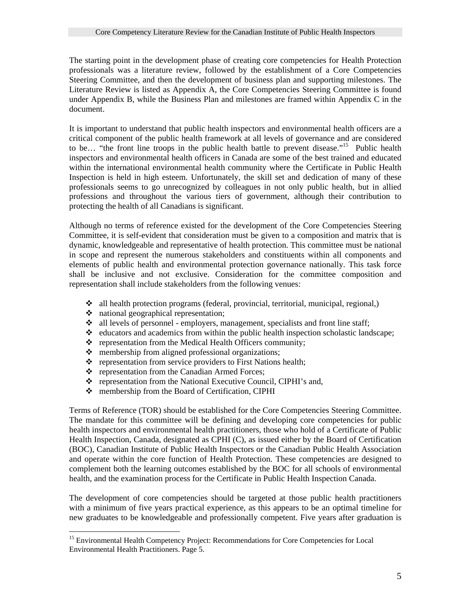The starting point in the development phase of creating core competencies for Health Protection professionals was a literature review, followed by the establishment of a Core Competencies Steering Committee, and then the development of business plan and supporting milestones. The Literature Review is listed as Appendix A, the Core Competencies Steering Committee is found under Appendix B, while the Business Plan and milestones are framed within Appendix C in the document.

It is important to understand that public health inspectors and environmental health officers are a critical component of the public health framework at all levels of governance and are considered to be... "the front line troops in the public health battle to prevent disease."<sup>15</sup> Public health inspectors and environmental health officers in Canada are some of the best trained and educated within the international environmental health community where the Certificate in Public Health Inspection is held in high esteem. Unfortunately, the skill set and dedication of many of these professionals seems to go unrecognized by colleagues in not only public health, but in allied professions and throughout the various tiers of government, although their contribution to protecting the health of all Canadians is significant.

Although no terms of reference existed for the development of the Core Competencies Steering Committee, it is self-evident that consideration must be given to a composition and matrix that is dynamic, knowledgeable and representative of health protection. This committee must be national in scope and represent the numerous stakeholders and constituents within all components and elements of public health and environmental protection governance nationally. This task force shall be inclusive and not exclusive. Consideration for the committee composition and representation shall include stakeholders from the following venues:

- all health protection programs (federal, provincial, territorial, municipal, regional,)
- $\triangleleft$  national geographical representation;

 $\overline{a}$ 

- $\bullet$  all levels of personnel employers, management, specialists and front line staff;
- $\triangleleft$  educators and academics from within the public health inspection scholastic landscape;
- \* representation from the Medical Health Officers community;
- 
- $\bullet$  membership from aligned professional organizations;<br> $\bullet$  representation from service providers to First Nations representation from service providers to First Nations health;
- ❖ representation from the Canadian Armed Forces;
- \* representation from the National Executive Council, CIPHI's and,
- membership from the Board of Certification, CIPHI

Terms of Reference (TOR) should be established for the Core Competencies Steering Committee. The mandate for this committee will be defining and developing core competencies for public health inspectors and environmental health practitioners, those who hold of a Certificate of Public Health Inspection, Canada, designated as CPHI (C), as issued either by the Board of Certification (BOC), Canadian Institute of Public Health Inspectors or the Canadian Public Health Association and operate within the core function of Health Protection. These competencies are designed to complement both the learning outcomes established by the BOC for all schools of environmental health, and the examination process for the Certificate in Public Health Inspection Canada.

The development of core competencies should be targeted at those public health practitioners with a minimum of five years practical experience, as this appears to be an optimal timeline for new graduates to be knowledgeable and professionally competent. Five years after graduation is

<span id="page-4-0"></span><sup>&</sup>lt;sup>15</sup> Environmental Health Competency Project: Recommendations for Core Competencies for Local Environmental Health Practitioners. Page 5.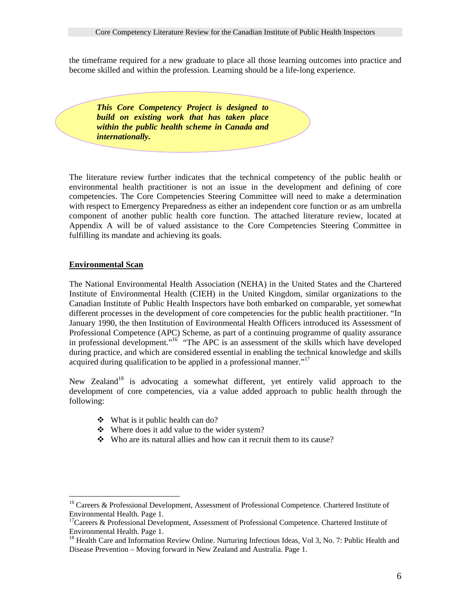the timeframe required for a new graduate to place all those learning outcomes into practice and become skilled and within the profession. Learning should be a life-long experience.

*This Core Competency Project is designed to build on existing work that has taken place within the public health scheme in Canada and internationally.* 

The literature review further indicates that the technical competency of the public health or environmental health practitioner is not an issue in the development and defining of core competencies. The Core Competencies Steering Committee will need to make a determination with respect to Emergency Preparedness as either an independent core function or as am umbrella component of another public health core function. The attached literature review, located at Appendix A will be of valued assistance to the Core Competencies Steering Committee in fulfilling its mandate and achieving its goals.

#### **Environmental Scan**

 $\overline{a}$ 

The National Environmental Health Association (NEHA) in the United States and the Chartered Institute of Environmental Health (CIEH) in the United Kingdom, similar organizations to the Canadian Institute of Public Health Inspectors have both embarked on comparable, yet somewhat different processes in the development of core competencies for the public health practitioner. "In January 1990, the then Institution of Environmental Health Officers introduced its Assessment of Professional Competence (APC) Scheme, as part of a continuing programme of quality assurance in professional development."[16](#page-5-0) "The APC is an assessment of the skills which have developed during practice, and which are considered essential in enabling the technical knowledge and skills acquired during qualification to be applied in a professional manner.<sup> $17$ </sup>

New Zealand<sup>18</sup> is advocating a somewhat different, yet entirely valid approach to the development of core competencies, via a value added approach to public health through the following:

- $\div$  What is it public health can do?
- Where does it add value to the wider system?
- Who are its natural allies and how can it recruit them to its cause?

<span id="page-5-0"></span><sup>&</sup>lt;sup>16</sup> Careers & Professional Development, Assessment of Professional Competence. Chartered Institute of Environmental Health. Page 1.<br><sup>17</sup>Careers & Professional Development, Assessment of Professional Competence. Chartered Institute of

<span id="page-5-1"></span>Environmental Health. Page 1.<br><sup>18</sup> Health Care and Information Review Online. Nurturing Infectious Ideas, Vol 3, No. 7: Public Health and

<span id="page-5-2"></span>Disease Prevention – Moving forward in New Zealand and Australia. Page 1.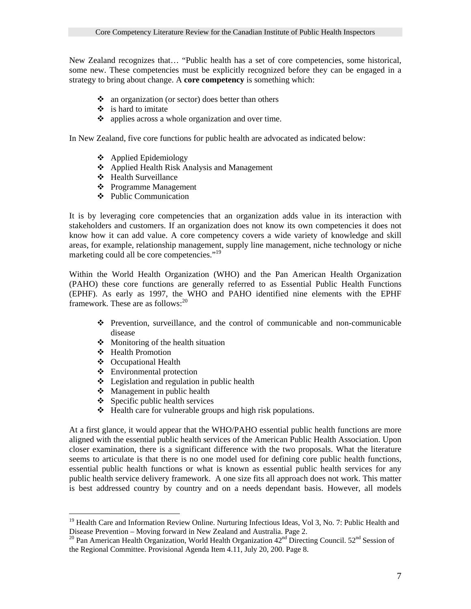New Zealand recognizes that… "Public health has a set of core competencies, some historical, some new. These competencies must be explicitly recognized before they can be engaged in a strategy to bring about change. A **core competency** is something which:

- $\bullet$  an organization (or sector) does better than others
- $\div$  is hard to imitate
- $\bullet$  applies across a whole organization and over time.

In New Zealand, five core functions for public health are advocated as indicated below:

- Applied Epidemiology
- Applied Health Risk Analysis and Management
- Health Surveillance
- Programme Management
- Public Communication

It is by leveraging core competencies that an organization adds value in its interaction with stakeholders and customers. If an organization does not know its own competencies it does not know how it can add value. A core competency covers a wide variety of knowledge and skill areas, for example, relationship management, supply line management, niche technology or niche marketing could all be core competencies."<sup>[19](#page-6-0)</sup>

Within the World Health Organization (WHO) and the Pan American Health Organization (PAHO) these core functions are generally referred to as Essential Public Health Functions (EPHF). As early as 1997, the WHO and PAHO identified nine elements with the EPHF framework. These are as follows:<sup>[20](#page-6-1)</sup>

- Prevention, surveillance, and the control of communicable and non-communicable disease
- $\bullet$  Monitoring of the health situation
- ❖ Health Promotion

 $\overline{a}$ 

- Occupational Health
- Environmental protection
- $\triangle$  Legislation and regulation in public health
- $\triangleleft$  Management in public health
- $\div$  Specific public health services
- $\triangleleft$  Health care for vulnerable groups and high risk populations.

At a first glance, it would appear that the WHO/PAHO essential public health functions are more aligned with the essential public health services of the American Public Health Association. Upon closer examination, there is a significant difference with the two proposals. What the literature seems to articulate is that there is no one model used for defining core public health functions, essential public health functions or what is known as essential public health services for any public health service delivery framework. A one size fits all approach does not work. This matter is best addressed country by country and on a needs dependant basis. However, all models

<span id="page-6-0"></span><sup>&</sup>lt;sup>19</sup> Health Care and Information Review Online. Nurturing Infectious Ideas, Vol 3, No. 7: Public Health and Disease Prevention – Moving forward in New Zealand and Australia. Page 2.

<span id="page-6-1"></span><sup>&</sup>lt;sup>20</sup> Pan American Health Organization, World Health Organization  $42<sup>nd</sup>$  Directing Council. 52<sup>nd</sup> Session of the Regional Committee. Provisional Agenda Item 4.11, July 20, 200. Page 8.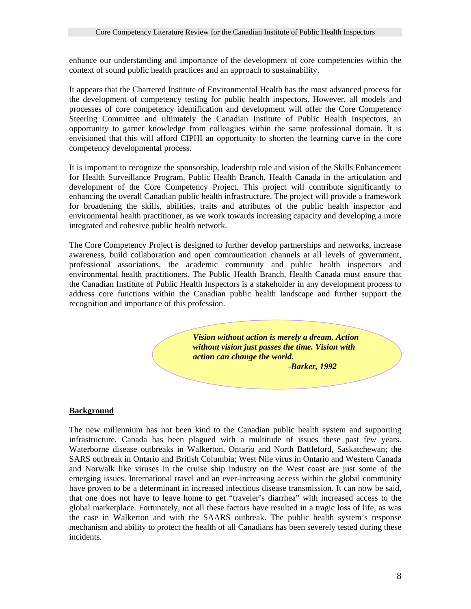enhance our understanding and importance of the development of core competencies within the context of sound public health practices and an approach to sustainability.

It appears that the Chartered Institute of Environmental Health has the most advanced process for the development of competency testing for public health inspectors. However, all models and processes of core competency identification and development will offer the Core Competency Steering Committee and ultimately the Canadian Institute of Public Health Inspectors, an opportunity to garner knowledge from colleagues within the same professional domain. It is envisioned that this will afford CIPHI an opportunity to shorten the learning curve in the core competency developmental process.

It is important to recognize the sponsorship, leadership role and vision of the Skills Enhancement for Health Surveillance Program, Public Health Branch, Health Canada in the articulation and development of the Core Competency Project. This project will contribute significantly to enhancing the overall Canadian public health infrastructure. The project will provide a framework for broadening the skills, abilities, traits and attributes of the public health inspector and environmental health practitioner, as we work towards increasing capacity and developing a more integrated and cohesive public health network.

The Core Competency Project is designed to further develop partnerships and networks, increase awareness, build collaboration and open communication channels at all levels of government, professional associations, the academic community and public health inspectors and environmental health practitioners. The Public Health Branch, Health Canada must ensure that the Canadian Institute of Public Health Inspectors is a stakeholder in any development process to address core functions within the Canadian public health landscape and further support the recognition and importance of this profession.

> *Vision without action is merely a dream. Action without vision just passes the time. Vision with action can change the world. -Barker, 1992*

## **Background**

The new millennium has not been kind to the Canadian public health system and supporting infrastructure. Canada has been plagued with a multitude of issues these past few years. Waterborne disease outbreaks in Walkerton, Ontario and North Battleford, Saskatchewan; the SARS outbreak in Ontario and British Columbia; West Nile virus in Ontario and Western Canada and Norwalk like viruses in the cruise ship industry on the West coast are just some of the emerging issues. International travel and an ever-increasing access within the global community have proven to be a determinant in increased infectious disease transmission. It can now be said, that one does not have to leave home to get "traveler's diarrhea" with increased access to the global marketplace. Fortunately, not all these factors have resulted in a tragic loss of life, as was the case in Walkerton and with the SAARS outbreak. The public health system's response mechanism and ability to protect the health of all Canadians has been severely tested during these incidents.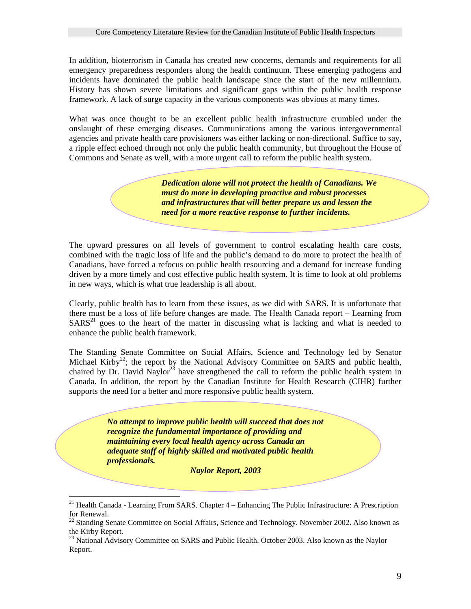In addition, bioterrorism in Canada has created new concerns, demands and requirements for all emergency preparedness responders along the health continuum. These emerging pathogens and incidents have dominated the public health landscape since the start of the new millennium. History has shown severe limitations and significant gaps within the public health response framework. A lack of surge capacity in the various components was obvious at many times.

What was once thought to be an excellent public health infrastructure crumbled under the onslaught of these emerging diseases. Communications among the various intergovernmental agencies and private health care provisioners was either lacking or non-directional. Suffice to say, a ripple effect echoed through not only the public health community, but throughout the House of Commons and Senate as well, with a more urgent call to reform the public health system.

> *Dedication alone will not protect the health of Canadians. We must do more in developing proactive and robust processes and infrastructures that will better prepare us and lessen the need for a more reactive response to further incidents.*

The upward pressures on all levels of government to control escalating health care costs, combined with the tragic loss of life and the public's demand to do more to protect the health of Canadians, have forced a refocus on public health resourcing and a demand for increase funding driven by a more timely and cost effective public health system. It is time to look at old problems in new ways, which is what true leadership is all about.

Clearly, public health has to learn from these issues, as we did with SARS. It is unfortunate that there must be a loss of life before changes are made. The Health Canada report – Learning from  $SARS<sup>21</sup>$  goes to the heart of the matter in discussing what is lacking and what is needed to enhance the public health framework.

The Standing Senate Committee on Social Affairs, Science and Technology led by Senator Michael Kirby<sup>22</sup>; the report by the National Advisory Committee on SARS and public health, chaired by Dr. David Naylor<sup>23</sup> have strengthened the call to reform the public health system in Canada. In addition, the report by the Canadian Institute for Health Research (CIHR) further supports the need for a better and more responsive public health system.

> *No attempt to improve public health will succeed that does not recognize the fundamental importance of providing and maintaining every local health agency across Canada an adequate staff of highly skilled and motivated public health professionals.*

 $\overline{a}$ 

 *Naylor Report, 2003* 

<span id="page-8-0"></span> $21$  Health Canada - Learning From SARS. Chapter  $4$  – Enhancing The Public Infrastructure: A Prescription for Renewal. 22 Standing Senate Committee on Social Affairs, Science and Technology. November 2002. Also known as

<span id="page-8-1"></span>the Kirby Report.<br><sup>23</sup> National Advisory Committee on SARS and Public Health. October 2003. Also known as the Naylor

<span id="page-8-2"></span>Report.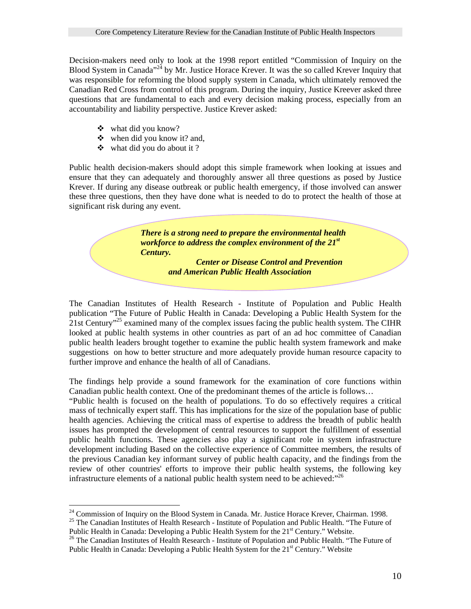Decision-makers need only to look at the 1998 report entitled "Commission of Inquiry on the Blood System in Canada<sup>"24</sup> by Mr. Justice Horace Krever. It was the so called Krever Inquiry that was responsible for reforming the blood supply system in Canada, which ultimately removed the Canadian Red Cross from control of this program. During the inquiry, Justice Kreever asked three questions that are fundamental to each and every decision making process, especially from an accountability and liability perspective. Justice Krever asked:

- what did you know?
- $\triangleleft$  when did you know it? and,
- $\triangleleft$  what did you do about it ?

Public health decision-makers should adopt this simple framework when looking at issues and ensure that they can adequately and thoroughly answer all three questions as posed by Justice Krever. If during any disease outbreak or public health emergency, if those involved can answer these three questions, then they have done what is needed to do to protect the health of those at significant risk during any event.

> *There is a strong need to prepare the environmental health workforce to address the complex environment of the 21st Century.*

> > *Center or Disease Control and Prevention and American Public Health Association*

The Canadian Institutes of Health Research - Institute of Population and Public Health publication "The Future of Public Health in Canada: Developing a Public Health System for the 21st Century<sup>"25</sup> examined many of the complex issues facing the public health system. The CIHR looked at public health systems in other countries as part of an ad hoc committee of Canadian public health leaders brought together to examine the public health system framework and make suggestions on how to better structure and more adequately provide human resource capacity to further improve and enhance the health of all of Canadians.

The findings help provide a sound framework for the examination of core functions within Canadian public health context. One of the predominant themes of the article is follows…

"Public health is focused on the health of populations. To do so effectively requires a critical mass of technically expert staff. This has implications for the size of the population base of public health agencies. Achieving the critical mass of expertise to address the breadth of public health issues has prompted the development of central resources to support the fulfillment of essential public health functions. These agencies also play a significant role in system infrastructure development including Based on the collective experience of Committee members, the results of the previous Canadian key informant survey of public health capacity, and the findings from the review of other countries' efforts to improve their public health systems, the following key infrastructure elements of a national public health system need to be achieved:"<sup>[26](#page-9-2)</sup>

<span id="page-9-0"></span><sup>&</sup>lt;sup>24</sup> Commission of Inquiry on the Blood System in Canada. Mr. Justice Horace Krever, Chairman. 1998.

<span id="page-9-1"></span><sup>&</sup>lt;sup>25</sup> The Canadian Institutes of Health Research - Institute of Population and Public Health. "The Future of Public Health in Canada: Developing a Public Health System for the  $21<sup>st</sup>$  Century." Website.

<span id="page-9-2"></span><sup>&</sup>lt;sup>26</sup> The Canadian Institutes of Health Research - Institute of Population and Public Health. "The Future of Public Health in Canada: Developing a Public Health System for the 21<sup>st</sup> Century." Website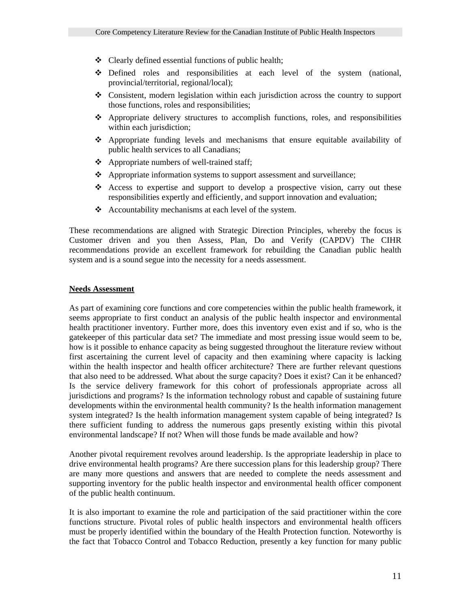- $\triangleleft$  Clearly defined essential functions of public health;
- Defined roles and responsibilities at each level of the system (national, provincial/territorial, regional/local);
- Consistent, modern legislation within each jurisdiction across the country to support those functions, roles and responsibilities;
- $\triangle$  Appropriate delivery structures to accomplish functions, roles, and responsibilities within each jurisdiction;
- Appropriate funding levels and mechanisms that ensure equitable availability of public health services to all Canadians;
- $\triangle$  Appropriate numbers of well-trained staff;
- Appropriate information systems to support assessment and surveillance;
- Access to expertise and support to develop a prospective vision, carry out these responsibilities expertly and efficiently, and support innovation and evaluation;
- $\triangle$  Accountability mechanisms at each level of the system.

These recommendations are aligned with Strategic Direction Principles, whereby the focus is Customer driven and you then Assess, Plan, Do and Verify (CAPDV) The CIHR recommendations provide an excellent framework for rebuilding the Canadian public health system and is a sound segue into the necessity for a needs assessment.

#### **Needs Assessment**

As part of examining core functions and core competencies within the public health framework, it seems appropriate to first conduct an analysis of the public health inspector and environmental health practitioner inventory. Further more, does this inventory even exist and if so, who is the gatekeeper of this particular data set? The immediate and most pressing issue would seem to be, how is it possible to enhance capacity as being suggested throughout the literature review without first ascertaining the current level of capacity and then examining where capacity is lacking within the health inspector and health officer architecture? There are further relevant questions that also need to be addressed. What about the surge capacity? Does it exist? Can it be enhanced? Is the service delivery framework for this cohort of professionals appropriate across all jurisdictions and programs? Is the information technology robust and capable of sustaining future developments within the environmental health community? Is the health information management system integrated? Is the health information management system capable of being integrated? Is there sufficient funding to address the numerous gaps presently existing within this pivotal environmental landscape? If not? When will those funds be made available and how?

Another pivotal requirement revolves around leadership. Is the appropriate leadership in place to drive environmental health programs? Are there succession plans for this leadership group? There are many more questions and answers that are needed to complete the needs assessment and supporting inventory for the public health inspector and environmental health officer component of the public health continuum.

It is also important to examine the role and participation of the said practitioner within the core functions structure. Pivotal roles of public health inspectors and environmental health officers must be properly identified within the boundary of the Health Protection function. Noteworthy is the fact that Tobacco Control and Tobacco Reduction, presently a key function for many public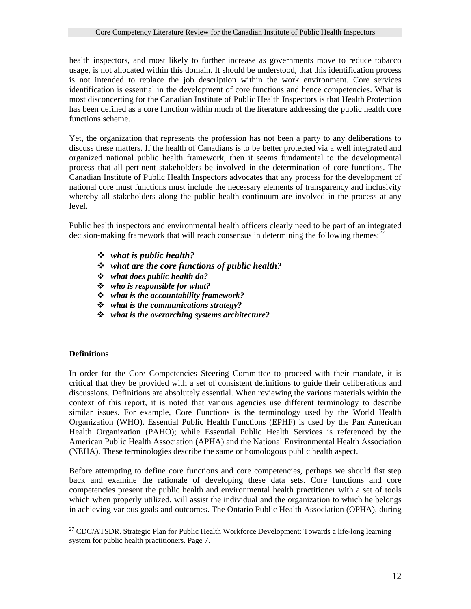health inspectors, and most likely to further increase as governments move to reduce tobacco usage, is not allocated within this domain. It should be understood, that this identification process is not intended to replace the job description within the work environment. Core services identification is essential in the development of core functions and hence competencies. What is most disconcerting for the Canadian Institute of Public Health Inspectors is that Health Protection has been defined as a core function within much of the literature addressing the public health core functions scheme.

Yet, the organization that represents the profession has not been a party to any deliberations to discuss these matters. If the health of Canadians is to be better protected via a well integrated and organized national public health framework, then it seems fundamental to the developmental process that all pertinent stakeholders be involved in the determination of core functions. The Canadian Institute of Public Health Inspectors advocates that any process for the development of national core must functions must include the necessary elements of transparency and inclusivity whereby all stakeholders along the public health continuum are involved in the process at any level.

Public health inspectors and environmental health officers clearly need to be part of an integrated decision-making framework that will reach consensus in determining the following themes:<sup>2</sup>

- *what is public health?*
- *what are the core functions of public health?*
- *what does public health do?*
- *who is responsible for what?*
- *what is the accountability framework?*
- *what is the communications strategy?*
- *what is the overarching systems architecture?*

#### **Definitions**

 $\overline{a}$ 

In order for the Core Competencies Steering Committee to proceed with their mandate, it is critical that they be provided with a set of consistent definitions to guide their deliberations and discussions. Definitions are absolutely essential. When reviewing the various materials within the context of this report, it is noted that various agencies use different terminology to describe similar issues. For example, Core Functions is the terminology used by the World Health Organization (WHO). Essential Public Health Functions (EPHF) is used by the Pan American Health Organization (PAHO); while Essential Public Health Services is referenced by the American Public Health Association (APHA) and the National Environmental Health Association (NEHA). These terminologies describe the same or homologous public health aspect.

Before attempting to define core functions and core competencies, perhaps we should fist step back and examine the rationale of developing these data sets. Core functions and core competencies present the public health and environmental health practitioner with a set of tools which when properly utilized, will assist the individual and the organization to which he belongs in achieving various goals and outcomes. The Ontario Public Health Association (OPHA), during

<span id="page-11-0"></span><sup>&</sup>lt;sup>27</sup> CDC/ATSDR. Strategic Plan for Public Health Workforce Development: Towards a life-long learning system for public health practitioners. Page 7.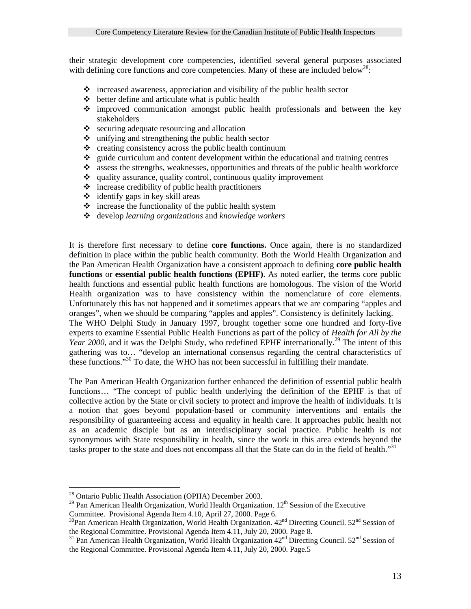their strategic development core competencies, identified several general purposes associated with defining core functions and core competencies. Many of these are included below<sup>28</sup>:

- $\triangle$  increased awareness, appreciation and visibility of the public health sector
- $\triangle$  better define and articulate what is public health
- improved communication amongst public health professionals and between the key stakeholders
- $\triangle$  securing adequate resourcing and allocation
- $\triangle$  unifying and strengthening the public health sector
- $\bullet$  creating consistency across the public health continuum  $\bullet$  guide curriculum and content development within the ed
- guide curriculum and content development within the educational and training centres
- \* assess the strengths, weaknesses, opportunities and threats of the public health workforce
- $\triangleleft$  quality assurance, quality control, continuous quality improvement
- $\triangle$  increase credibility of public health practitioners
- $\div$  identify gaps in key skill areas
- $\triangle$  increase the functionality of the public health system
- develop *learning organizations* and *knowledge workers*

It is therefore first necessary to define **core functions.** Once again, there is no standardized definition in place within the public health community. Both the World Health Organization and the Pan American Health Organization have a consistent approach to defining **core public health functions** or **essential public health functions (EPHF)**. As noted earlier, the terms core public health functions and essential public health functions are homologous. The vision of the World Health organization was to have consistency within the nomenclature of core elements. Unfortunately this has not happened and it sometimes appears that we are comparing "apples and oranges", when we should be comparing "apples and apples". Consistency is definitely lacking. The WHO Delphi Study in January 1997, brought together some one hundred and forty-five experts to examine Essential Public Health Functions as part of the policy of *Health for All by the* Year 2000, and it was the Delphi Study, who redefined EPHF internationally.<sup>29</sup> The intent of this gathering was to… "develop an international consensus regarding the central characteristics of these functions."<sup>30</sup> To date, the WHO has not been successful in fulfilling their mandate.

The Pan American Health Organization further enhanced the definition of essential public health functions… "The concept of public health underlying the definition of the EPHF is that of collective action by the State or civil society to protect and improve the health of individuals. It is a notion that goes beyond population-based or community interventions and entails the responsibility of guaranteeing access and equality in health care. It approaches public health not as an academic disciple but as an interdisciplinary social practice. Public health is not synonymous with State responsibility in health, since the work in this area extends beyond the tasks proper to the state and does not encompass all that the State can do in the field of health."<sup>31</sup>

 $\overline{a}$ 

<span id="page-12-0"></span><sup>&</sup>lt;sup>28</sup> Ontario Public Health Association (OPHA) December 2003.

<span id="page-12-1"></span><sup>&</sup>lt;sup>29</sup> Pan American Health Organization, World Health Organization.  $12<sup>th</sup>$  Session of the Executive Committee. Provisional Agenda Item 4.10, April 27, 2000. Page 6.

<span id="page-12-2"></span><sup>&</sup>lt;sup>30</sup>Pan American Health Organization, World Health Organization.  $42<sup>nd</sup>$  Directing Council. 52<sup>nd</sup> Session of the Regional Committee. Provisional Agenda Item 4.11, July 20, 2000. Page 8.

<span id="page-12-3"></span><sup>&</sup>lt;sup>31</sup> Pan American Health Organization, World Health Organization  $42<sup>nd</sup>$  Directing Council. 52<sup>nd</sup> Session of the Regional Committee. Provisional Agenda Item 4.11, July 20, 2000. Page.5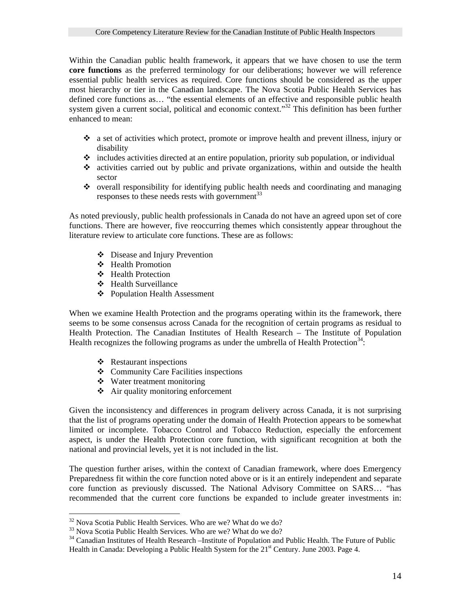Within the Canadian public health framework, it appears that we have chosen to use the term **core functions** as the preferred terminology for our deliberations; however we will reference essential public health services as required. Core functions should be considered as the upper most hierarchy or tier in the Canadian landscape. The Nova Scotia Public Health Services has defined core functions as… "the essential elements of an effective and responsible public health system given a current social, political and economic context.<sup>33</sup> This definition has been further enhanced to mean:

- a set of activities which protect, promote or improve health and prevent illness, injury or disability
- $\cdot$  includes activities directed at an entire population, priority sub population, or individual
- activities carried out by public and private organizations, within and outside the health sector
- $\bullet$  overall responsibility for identifying public health needs and coordinating and managing responses to these needs rests with government<sup>33</sup>

As noted previously, public health professionals in Canada do not have an agreed upon set of core functions. There are however, five reoccurring themes which consistently appear throughout the literature review to articulate core functions. These are as follows:

- Disease and Injury Prevention
- Health Promotion
- Health Protection
- Health Surveillance
- Population Health Assessment

When we examine Health Protection and the programs operating within its the framework, there seems to be some consensus across Canada for the recognition of certain programs as residual to Health Protection. The Canadian Institutes of Health Research – The Institute of Population Health recognizes the following programs as under the umbrella of Health Protection<sup>34</sup>:

- ❖ Restaurant inspections
- Community Care Facilities inspections
- Water treatment monitoring
- $\triangleq$  Air quality monitoring enforcement

Given the inconsistency and differences in program delivery across Canada, it is not surprising that the list of programs operating under the domain of Health Protection appears to be somewhat limited or incomplete. Tobacco Control and Tobacco Reduction, especially the enforcement aspect, is under the Health Protection core function, with significant recognition at both the national and provincial levels, yet it is not included in the list.

The question further arises, within the context of Canadian framework, where does Emergency Preparedness fit within the core function noted above or is it an entirely independent and separate core function as previously discussed. The National Advisory Committee on SARS… "has recommended that the current core functions be expanded to include greater investments in:

<span id="page-13-0"></span><sup>&</sup>lt;sup>32</sup> Nova Scotia Public Health Services. Who are we? What do we do?

<span id="page-13-2"></span><span id="page-13-1"></span>

 $33$  Nova Scotia Public Health Services. Who are we? What do we do?<br> $34$  Canadian Institutes of Health Research – Institute of Population and Public Health. The Future of Public Health in Canada: Developing a Public Health System for the 21<sup>st</sup> Century. June 2003. Page 4.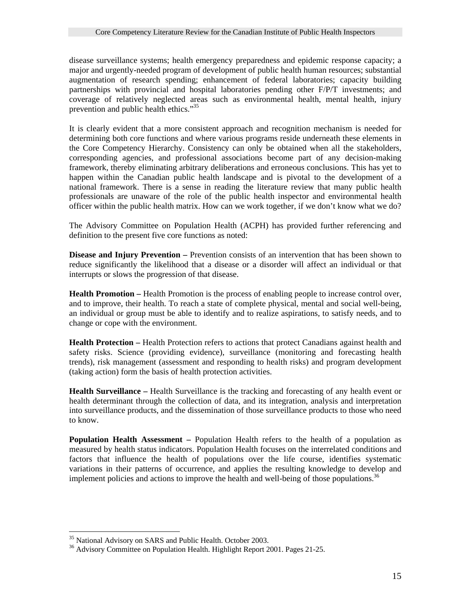disease surveillance systems; health emergency preparedness and epidemic response capacity; a major and urgently-needed program of development of public health human resources; substantial augmentation of research spending; enhancement of federal laboratories; capacity building partnerships with provincial and hospital laboratories pending other F/P/T investments; and coverage of relatively neglected areas such as environmental health, mental health, injury prevention and public health ethics."<sup>[35](#page-14-0)</sup>

It is clearly evident that a more consistent approach and recognition mechanism is needed for determining both core functions and where various programs reside underneath these elements in the Core Competency Hierarchy. Consistency can only be obtained when all the stakeholders, corresponding agencies, and professional associations become part of any decision-making framework, thereby eliminating arbitrary deliberations and erroneous conclusions. This has yet to happen within the Canadian public health landscape and is pivotal to the development of a national framework. There is a sense in reading the literature review that many public health professionals are unaware of the role of the public health inspector and environmental health officer within the public health matrix. How can we work together, if we don't know what we do?

The Advisory Committee on Population Health (ACPH) has provided further referencing and definition to the present five core functions as noted:

**Disease and Injury Prevention –** Prevention consists of an intervention that has been shown to reduce significantly the likelihood that a disease or a disorder will affect an individual or that interrupts or slows the progression of that disease.

**Health Promotion –** Health Promotion is the process of enabling people to increase control over, and to improve, their health. To reach a state of complete physical, mental and social well-being, an individual or group must be able to identify and to realize aspirations, to satisfy needs, and to change or cope with the environment.

**Health Protection –** Health Protection refers to actions that protect Canadians against health and safety risks. Science (providing evidence), surveillance (monitoring and forecasting health trends), risk management (assessment and responding to health risks) and program development (taking action) form the basis of health protection activities.

**Health Surveillance –** Health Surveillance is the tracking and forecasting of any health event or health determinant through the collection of data, and its integration, analysis and interpretation into surveillance products, and the dissemination of those surveillance products to those who need to know.

**Population Health Assessment –** Population Health refers to the health of a population as measured by health status indicators. Population Health focuses on the interrelated conditions and factors that influence the health of populations over the life course, identifies systematic variations in their patterns of occurrence, and applies the resulting knowledge to develop and implement policies and actions to improve the health and well-being of those populations.<sup>[36](#page-14-1)</sup>

<span id="page-14-0"></span><sup>&</sup>lt;sup>35</sup> National Advisory on SARS and Public Health. October 2003.

<span id="page-14-1"></span><sup>&</sup>lt;sup>36</sup> Advisory Committee on Population Health. Highlight Report 2001. Pages 21-25.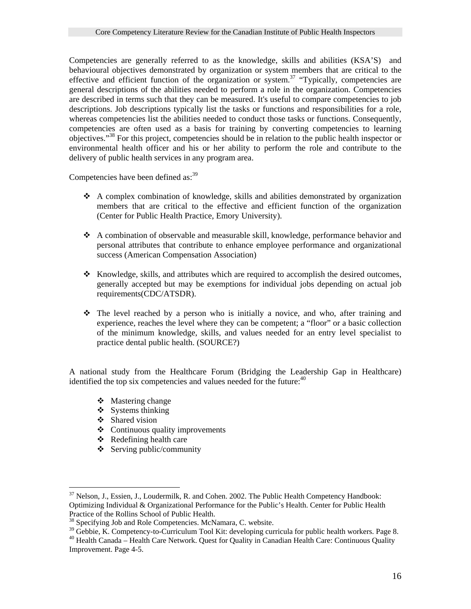Competencies are generally referred to as the knowledge, skills and abilities (KSA'S) and behavioural objectives demonstrated by organization or system members that are critical to the effective and efficient function of the organization or system.<sup>37</sup> "Typically, competencies are general descriptions of the abilities needed to perform a role in the organization. Competencies are described in terms such that they can be measured. It's useful to compare competencies to job descriptions. Job descriptions typically list the tasks or functions and responsibilities for a role, whereas competencies list the abilities needed to conduct those tasks or functions. Consequently, competencies are often used as a basis for training by converting competencies to learning objectives."[38](#page-15-1) For this project, competencies should be in relation to the public health inspector or environmental health officer and his or her ability to perform the role and contribute to the delivery of public health services in any program area.

Competencies have been defined as:<sup>[39](#page-15-2)</sup>

- $\triangle$  A complex combination of knowledge, skills and abilities demonstrated by organization members that are critical to the effective and efficient function of the organization (Center for Public Health Practice, Emory University).
- A combination of observable and measurable skill, knowledge, performance behavior and personal attributes that contribute to enhance employee performance and organizational success (American Compensation Association)
- $\cdot$  Knowledge, skills, and attributes which are required to accomplish the desired outcomes, generally accepted but may be exemptions for individual jobs depending on actual job requirements(CDC/ATSDR).
- The level reached by a person who is initially a novice, and who, after training and experience, reaches the level where they can be competent; a "floor" or a basic collection of the minimum knowledge, skills, and values needed for an entry level specialist to practice dental public health. (SOURCE?)

A national study from the Healthcare Forum (Bridging the Leadership Gap in Healthcare) identified the top six competencies and values needed for the future:  $40$ 

- $\div$  Mastering change
- $\bullet$  Systems thinking
- Shared vision
- $\triangleleft$  Continuous quality improvements
- $\triangle$  Redefining health care
- $\triangleleft$  Serving public/community

<span id="page-15-0"></span> $\overline{a}$  $37$  Nelson, J., Essien, J., Loudermilk, R. and Cohen. 2002. The Public Health Competency Handbook: Optimizing Individual & Organizational Performance for the Public's Health. Center for Public Health Practice of the Rollins School of Public Health.<br><sup>38</sup> Specifying Job and Role Competencies. McNamara, C. website.

<span id="page-15-1"></span>

<span id="page-15-2"></span><sup>&</sup>lt;sup>39</sup> Gebbie, K. Competency-to-Curriculum Tool Kit: developing curricula for public health workers. Page 8.  $^{40}$  Health Canada – Health Care Network. Quest for Quality in Canadian Health Care: Continuous Quality

<span id="page-15-3"></span>Improvement. Page 4-5.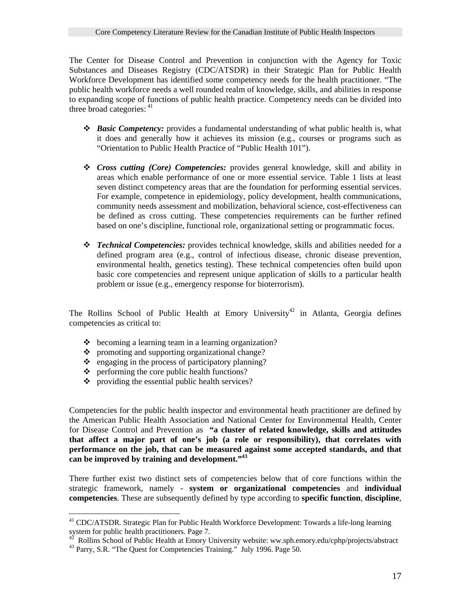The Center for Disease Control and Prevention in conjunction with the Agency for Toxic Substances and Diseases Registry (CDC/ATSDR) in their Strategic Plan for Public Health Workforce Development has identified some competency needs for the health practitioner. "The public health workforce needs a well rounded realm of knowledge, skills, and abilities in response to expanding scope of functions of public health practice. Competency needs can be divided into three broad categories:  $41$ 

- *Basic Competency:* provides a fundamental understanding of what public health is, what it does and generally how it achieves its mission (e.g., courses or programs such as "Orientation to Public Health Practice of "Public Health 101").
- *Cross cutting (Core) Competencies:* provides general knowledge, skill and ability in areas which enable performance of one or more essential service. Table 1 lists at least seven distinct competency areas that are the foundation for performing essential services. For example, competence in epidemiology, policy development, health communications, community needs assessment and mobilization, behavioral science, cost-effectiveness can be defined as cross cutting. These competencies requirements can be further refined based on one's discipline, functional role, organizational setting or programmatic focus.
- *Technical Competencies:* provides technical knowledge, skills and abilities needed for a defined program area (e.g., control of infectious disease, chronic disease prevention, environmental health, genetics testing). These technical competencies often build upon basic core competencies and represent unique application of skills to a particular health problem or issue (e.g., emergency response for bioterrorism).

The Rollins School of Public Health at Emory University<sup>42</sup> in Atlanta, Georgia defines competencies as critical to:

- $\triangle$  becoming a learning team in a learning organization?
- $\bullet$  promoting and supporting organizational change?
- $\bullet$  engaging in the process of participatory planning?
- $\bullet$  performing the core public health functions?
- providing the essential public health services?

Competencies for the public health inspector and environmental heath practitioner are defined by the American Public Health Association and National Center for Environmental Health, Center for Disease Control and Prevention as **"a cluster of related knowledge, skills and attitudes that affect a major part of one's job (a role or responsibility), that correlates with performance on the job, that can be measured against some accepted standards, and that can be improved by training and development."[43](#page-16-2)**

There further exist two distinct sets of competencies below that of core functions within the strategic framework, namely - **system or organizational competencies** and **individual competencies**. These are subsequently defined by type according to **specific function**, **discipline**,

 $\overline{a}$ 

<span id="page-16-0"></span><sup>&</sup>lt;sup>41</sup> CDC/ATSDR. Strategic Plan for Public Health Workforce Development: Towards a life-long learning system for public health practitioners. Page 7.<br><sup>42</sup> Rollins School of Public Health at Emory University website: ww.sph.emory.edu/cphp/projects/abstract<br><sup>43</sup> Parry, S.R. "The Quest for Competencies Training." July 1996. P

<span id="page-16-1"></span>

<span id="page-16-2"></span>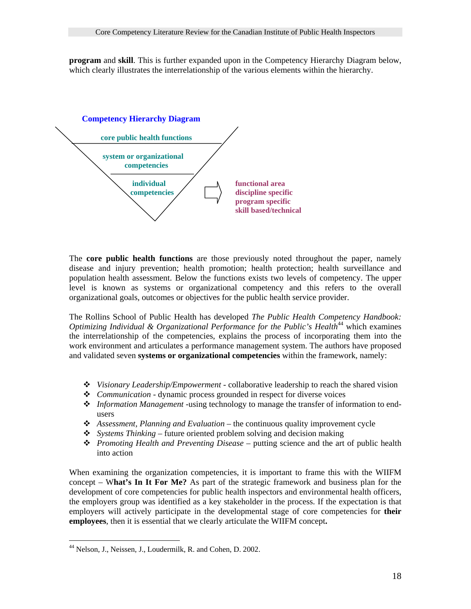**program** and **skill**. This is further expanded upon in the Competency Hierarchy Diagram below, which clearly illustrates the interrelationship of the various elements within the hierarchy.



The **core public health functions** are those previously noted throughout the paper, namely disease and injury prevention; health promotion; health protection; health surveillance and population health assessment. Below the functions exists two levels of competency. The upper level is known as systems or organizational competency and this refers to the overall organizational goals, outcomes or objectives for the public health service provider.

The Rollins School of Public Health has developed *The Public Health Competency Handbook: Optimizing Individual & Organizational Performance for the Public's Health*<sup>44</sup> which examines the interrelationship of the competencies, explains the process of incorporating them into the work environment and articulates a performance management system. The authors have proposed and validated seven **systems or organizational competencies** within the framework, namely:

- *Visionary Leadership/Empowerment -* collaborative leadership to reach the shared vision
- *Communication -* dynamic process grounded in respect for diverse voices
- *Information Management -*using technology to manage the transfer of information to endusers
- *Assessment, Planning and Evaluation*  the continuous quality improvement cycle
- *Systems Thinking*  future oriented problem solving and decision making
- *Promoting Health and Preventing Disease* putting science and the art of public health into action

When examining the organization competencies, it is important to frame this with the WIIFM concept – W**hat's In It For Me?** As part of the strategic framework and business plan for the development of core competencies for public health inspectors and environmental health officers, the employers group was identified as a key stakeholder in the process. If the expectation is that employers will actively participate in the developmental stage of core competencies for **their employees**, then it is essential that we clearly articulate the WIIFM concept**.** 

 $\overline{a}$ 

<span id="page-17-0"></span><sup>&</sup>lt;sup>44</sup> Nelson, J., Neissen, J., Loudermilk, R. and Cohen, D. 2002.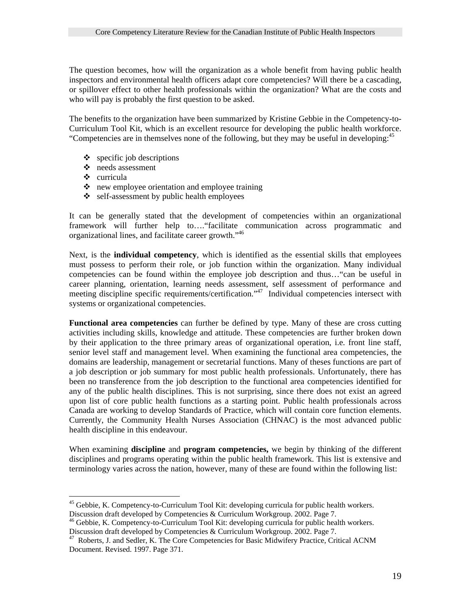The question becomes, how will the organization as a whole benefit from having public health inspectors and environmental health officers adapt core competencies? Will there be a cascading, or spillover effect to other health professionals within the organization? What are the costs and who will pay is probably the first question to be asked.

The benefits to the organization have been summarized by Kristine Gebbie in the Competency-to-Curriculum Tool Kit, which is an excellent resource for developing the public health workforce. "Competencies are in themselves none of the following, but they may be useful in developing:<sup>[45](#page-18-0)</sup>

- $\bullet$  specific job descriptions
- needs assessment
- curricula
- $\bullet$  new employee orientation and employee training
- **❖** self-assessment by public health employees

It can be generally stated that the development of competencies within an organizational framework will further help to…."facilitate communication across programmatic and organizational lines, and facilitate career growth."[46](#page-18-1) 

Next, is the **individual competency**, which is identified as the essential skills that employees must possess to perform their role, or job function within the organization. Many individual competencies can be found within the employee job description and thus…"can be useful in career planning, orientation, learning needs assessment, self assessment of performance and meeting discipline specific requirements/certification.<sup>47</sup> Individual competencies intersect with systems or organizational competencies.

**Functional area competencies** can further be defined by type. Many of these are cross cutting activities including skills, knowledge and attitude. These competencies are further broken down by their application to the three primary areas of organizational operation, i.e. front line staff, senior level staff and management level. When examining the functional area competencies, the domains are leadership, management or secretarial functions. Many of theses functions are part of a job description or job summary for most public health professionals. Unfortunately, there has been no transference from the job description to the functional area competencies identified for any of the public health disciplines. This is not surprising, since there does not exist an agreed upon list of core public health functions as a starting point. Public health professionals across Canada are working to develop Standards of Practice, which will contain core function elements. Currently, the Community Health Nurses Association (CHNAC) is the most advanced public health discipline in this endeavour.

When examining **discipline** and **program competencies,** we begin by thinking of the different disciplines and programs operating within the public health framework. This list is extensive and terminology varies across the nation, however, many of these are found within the following list:

<span id="page-18-0"></span> $\overline{a}$ <sup>45</sup> Gebbie, K. Competency-to-Curriculum Tool Kit: developing curricula for public health workers.

<span id="page-18-1"></span>Discussion draft developed by Competencies & Curriculum Workgroup. 2002. Page 7.<br><sup>46</sup> Gebbie, K. Competency-to-Curriculum Tool Kit: developing curricula for public health workers.<br>Discussion draft developed by Competencies

<span id="page-18-2"></span><sup>&</sup>lt;sup>47</sup> Roberts, J. and Sedler, K. The Core Competencies for Basic Midwifery Practice, Critical ACNM Document. Revised. 1997. Page 371.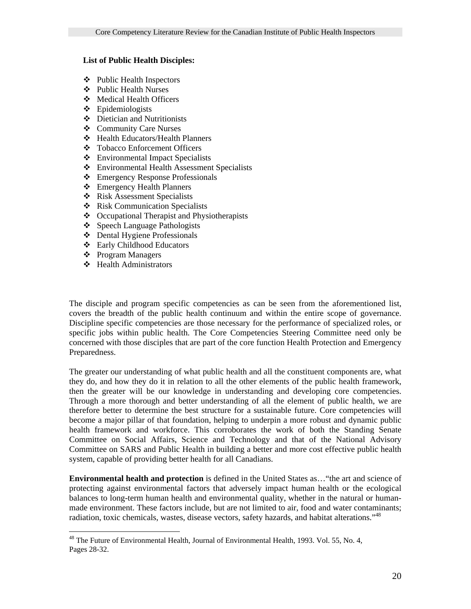### **List of Public Health Disciples:**

- Public Health Inspectors
- Public Health Nurses
- Medical Health Officers
- Epidemiologists
- Dietician and Nutritionists
- Community Care Nurses
- Health Educators/Health Planners
- Tobacco Enforcement Officers
- Environmental Impact Specialists
- Environmental Health Assessment Specialists
- Emergency Response Professionals
- Emergency Health Planners
- Risk Assessment Specialists
- Risk Communication Specialists
- Occupational Therapist and Physiotherapists
- Speech Language Pathologists
- Dental Hygiene Professionals
- Early Childhood Educators
- Program Managers

 $\overline{a}$ 

Health Administrators

The disciple and program specific competencies as can be seen from the aforementioned list, covers the breadth of the public health continuum and within the entire scope of governance. Discipline specific competencies are those necessary for the performance of specialized roles, or specific jobs within public health. The Core Competencies Steering Committee need only be concerned with those disciples that are part of the core function Health Protection and Emergency Preparedness.

The greater our understanding of what public health and all the constituent components are, what they do, and how they do it in relation to all the other elements of the public health framework, then the greater will be our knowledge in understanding and developing core competencies. Through a more thorough and better understanding of all the element of public health, we are therefore better to determine the best structure for a sustainable future. Core competencies will become a major pillar of that foundation, helping to underpin a more robust and dynamic public health framework and workforce. This corroborates the work of both the Standing Senate Committee on Social Affairs, Science and Technology and that of the National Advisory Committee on SARS and Public Health in building a better and more cost effective public health system, capable of providing better health for all Canadians.

**Environmental health and protection** is defined in the United States as…"the art and science of protecting against environmental factors that adversely impact human health or the ecological balances to long-term human health and environmental quality, whether in the natural or humanmade environment. These factors include, but are not limited to air, food and water contaminants; radiation, toxic chemicals, wastes, disease vectors, safety hazards, and habitat alterations."<sup>48</sup>

<span id="page-19-0"></span><sup>&</sup>lt;sup>48</sup> The Future of Environmental Health, Journal of Environmental Health, 1993. Vol. 55, No. 4, Pages 28-32.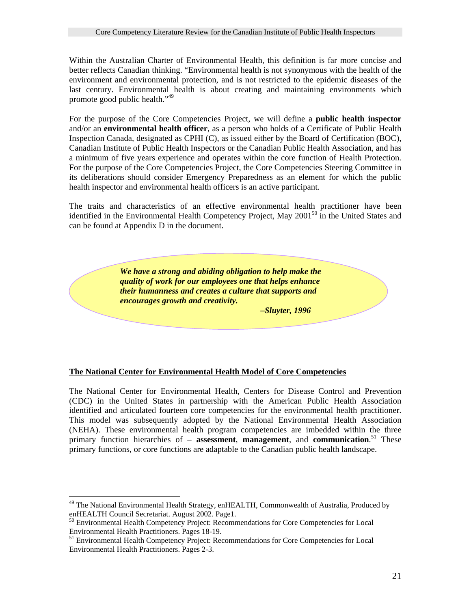Within the Australian Charter of Environmental Health, this definition is far more concise and better reflects Canadian thinking. "Environmental health is not synonymous with the health of the environment and environmental protection, and is not restricted to the epidemic diseases of the last century. Environmental health is about creating and maintaining environments which promote good public health."[49](#page-20-0)

For the purpose of the Core Competencies Project, we will define a **public health inspector** and/or an **environmental health officer**, as a person who holds of a Certificate of Public Health Inspection Canada, designated as CPHI (C), as issued either by the Board of Certification (BOC), Canadian Institute of Public Health Inspectors or the Canadian Public Health Association, and has a minimum of five years experience and operates within the core function of Health Protection. For the purpose of the Core Competencies Project, the Core Competencies Steering Committee in its deliberations should consider Emergency Preparedness as an element for which the public health inspector and environmental health officers is an active participant.

The traits and characteristics of an effective environmental health practitioner have been identified in the Environmental Health Competency Project, May  $2001^{50}$  in the United States and can be found at Appendix D in the document.

> *We have a strong and abiding obligation to help make the quality of work for our employees one that helps enhance their humanness and creates a culture that supports and encourages growth and creativity.*

> > *–Sluyter, 1996*

## **The National Center for Environmental Health Model of Core Competencies**

The National Center for Environmental Health, Centers for Disease Control and Prevention (CDC) in the United States in partnership with the American Public Health Association identified and articulated fourteen core competencies for the environmental health practitioner. This model was subsequently adopted by the National Environmental Health Association (NEHA). These environmental health program competencies are imbedded within the three primary function hierarchies of – **assessment**, **management**, and **communication**. [51](#page-20-2) These primary functions, or core functions are adaptable to the Canadian public health landscape.

 $\overline{a}$ 

<span id="page-20-0"></span> $49$  The National Environmental Health Strategy, enHEALTH, Commonwealth of Australia, Produced by enHEALTH Council Secretariat. August 2002. Page1.

<span id="page-20-1"></span> $^{50}$  Environmental Health Competency Project: Recommendations for Core Competencies for Local Environmental Health Practitioners. Pages 18-19.

<span id="page-20-2"></span><sup>&</sup>lt;sup>51</sup> Environmental Health Competency Project: Recommendations for Core Competencies for Local Environmental Health Practitioners. Pages 2-3.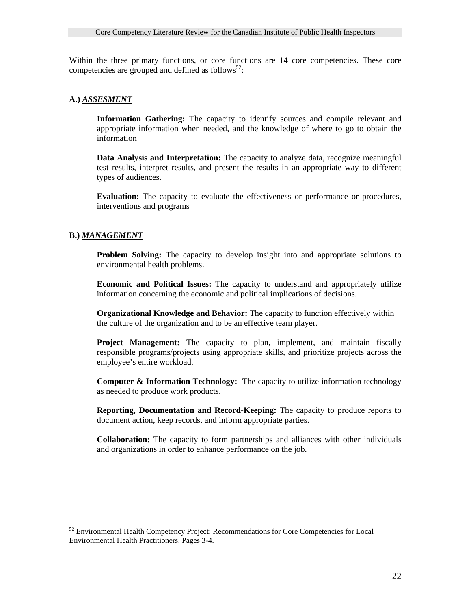Within the three primary functions, or core functions are 14 core competencies. These core competencies are grouped and defined as follows<sup>52</sup>:

#### **A.)** *ASSESMENT*

**Information Gathering:** The capacity to identify sources and compile relevant and appropriate information when needed, and the knowledge of where to go to obtain the information

**Data Analysis and Interpretation:** The capacity to analyze data, recognize meaningful test results, interpret results, and present the results in an appropriate way to different types of audiences.

**Evaluation:** The capacity to evaluate the effectiveness or performance or procedures, interventions and programs

#### **B.)** *MANAGEMENT*

 $\overline{a}$ 

**Problem Solving:** The capacity to develop insight into and appropriate solutions to environmental health problems.

**Economic and Political Issues:** The capacity to understand and appropriately utilize information concerning the economic and political implications of decisions.

**Organizational Knowledge and Behavior:** The capacity to function effectively within the culture of the organization and to be an effective team player.

**Project Management:** The capacity to plan, implement, and maintain fiscally responsible programs/projects using appropriate skills, and prioritize projects across the employee's entire workload.

**Computer & Information Technology:** The capacity to utilize information technology as needed to produce work products.

**Reporting, Documentation and Record-Keeping:** The capacity to produce reports to document action, keep records, and inform appropriate parties.

**Collaboration:** The capacity to form partnerships and alliances with other individuals and organizations in order to enhance performance on the job.

<span id="page-21-0"></span><sup>&</sup>lt;sup>52</sup> Environmental Health Competency Project: Recommendations for Core Competencies for Local Environmental Health Practitioners. Pages 3-4.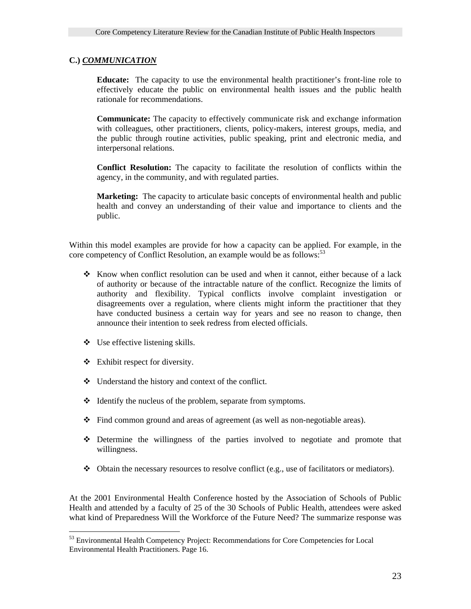## **C.)** *COMMUNICATION*

**Educate:** The capacity to use the environmental health practitioner's front-line role to effectively educate the public on environmental health issues and the public health rationale for recommendations.

**Communicate:** The capacity to effectively communicate risk and exchange information with colleagues, other practitioners, clients, policy-makers, interest groups, media, and the public through routine activities, public speaking, print and electronic media, and interpersonal relations.

**Conflict Resolution:** The capacity to facilitate the resolution of conflicts within the agency, in the community, and with regulated parties.

**Marketing:** The capacity to articulate basic concepts of environmental health and public health and convey an understanding of their value and importance to clients and the public.

Within this model examples are provide for how a capacity can be applied. For example, in the core competency of Conflict Resolution, an example would be as follows:<sup>53</sup>

- $\bullet$  Know when conflict resolution can be used and when it cannot, either because of a lack of authority or because of the intractable nature of the conflict. Recognize the limits of authority and flexibility. Typical conflicts involve complaint investigation or disagreements over a regulation, where clients might inform the practitioner that they have conducted business a certain way for years and see no reason to change, then announce their intention to seek redress from elected officials.
- $\bullet$  Use effective listening skills.
- $\triangleleft$  Exhibit respect for diversity.

 $\overline{a}$ 

- Understand the history and context of the conflict.
- Identify the nucleus of the problem, separate from symptoms.
- Find common ground and areas of agreement (as well as non-negotiable areas).
- Determine the willingness of the parties involved to negotiate and promote that willingness.
- $\bullet$  Obtain the necessary resources to resolve conflict (e.g., use of facilitators or mediators).

At the 2001 Environmental Health Conference hosted by the Association of Schools of Public Health and attended by a faculty of 25 of the 30 Schools of Public Health, attendees were asked what kind of Preparedness Will the Workforce of the Future Need? The summarize response was

<span id="page-22-0"></span><sup>&</sup>lt;sup>53</sup> Environmental Health Competency Project: Recommendations for Core Competencies for Local Environmental Health Practitioners. Page 16.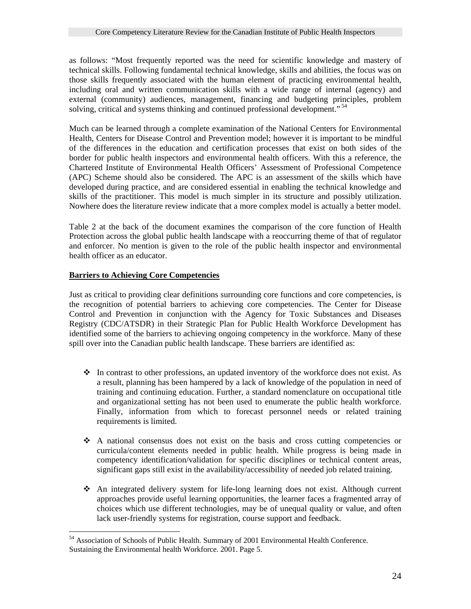as follows: "Most frequently reported was the need for scientific knowledge and mastery of technical skills. Following fundamental technical knowledge, skills and abilities, the focus was on those skills frequently associated with the human element of practicing environmental health, including oral and written communication skills with a wide range of internal (agency) and external (community) audiences, management, financing and budgeting principles, problem solving, critical and systems thinking and continued professional development."<sup>[54](#page-23-0)</sup>

Much can be learned through a complete examination of the National Centers for Environmental Health, Centers for Disease Control and Prevention model; however it is important to be mindful of the differences in the education and certification processes that exist on both sides of the border for public health inspectors and environmental health officers. With this a reference, the Chartered Institute of Environmental Health Officers' Assessment of Professional Competence (APC) Scheme should also be considered. The APC is an assessment of the skills which have developed during practice, and are considered essential in enabling the technical knowledge and skills of the practitioner. This model is much simpler in its structure and possibly utilization. Nowhere does the literature review indicate that a more complex model is actually a better model.

Table 2 at the back of the document examines the comparison of the core function of Health Protection across the global public health landscape with a reoccurring theme of that of regulator and enforcer. No mention is given to the role of the public health inspector and environmental health officer as an educator.

## **Barriers to Achieving Core Competencies**

Just as critical to providing clear definitions surrounding core functions and core competencies, is the recognition of potential barriers to achieving core competencies. The Center for Disease Control and Prevention in conjunction with the Agency for Toxic Substances and Diseases Registry (CDC/ATSDR) in their Strategic Plan for Public Health Workforce Development has identified some of the barriers to achieving ongoing competency in the workforce. Many of these spill over into the Canadian public health landscape. These barriers are identified as:

- $\cdot \cdot$  In contrast to other professions, an updated inventory of the workforce does not exist. As a result, planning has been hampered by a lack of knowledge of the population in need of training and continuing education. Further, a standard nomenclature on occupational title and organizational setting has not been used to enumerate the public health workforce. Finally, information from which to forecast personnel needs or related training requirements is limited.
- A national consensus does not exist on the basis and cross cutting competencies or curricula/content elements needed in public health. While progress is being made in competency identification/validation for specific disciplines or technical content areas, significant gaps still exist in the availability/accessibility of needed job related training.
- An integrated delivery system for life-long learning does not exist. Although current approaches provide useful learning opportunities, the learner faces a fragmented array of choices which use different technologies, may be of unequal quality or value, and often lack user-friendly systems for registration, course support and feedback.

<span id="page-23-0"></span> $\overline{a}$ <sup>54</sup> Association of Schools of Public Health. Summary of 2001 Environmental Health Conference. Sustaining the Environmental health Workforce. 2001. Page 5.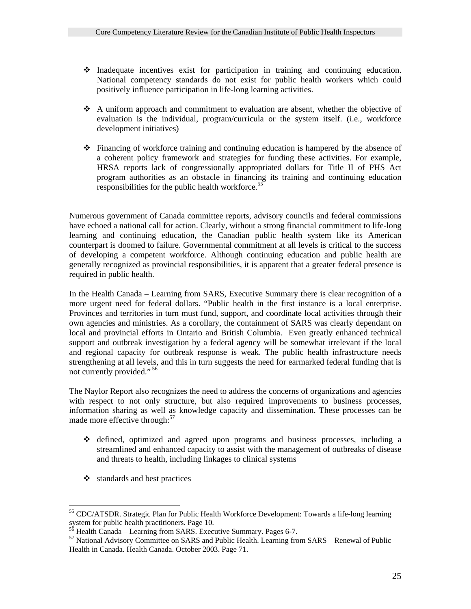- $\cdot$  Inadequate incentives exist for participation in training and continuing education. National competency standards do not exist for public health workers which could positively influence participation in life-long learning activities.
- A uniform approach and commitment to evaluation are absent, whether the objective of evaluation is the individual, program/curricula or the system itself. (i.e., workforce development initiatives)
- Financing of workforce training and continuing education is hampered by the absence of a coherent policy framework and strategies for funding these activities. For example, HRSA reports lack of congressionally appropriated dollars for Title II of PHS Act program authorities as an obstacle in financing its training and continuing education responsibilities for the public health workforce.<sup>55</sup>

Numerous government of Canada committee reports, advisory councils and federal commissions have echoed a national call for action. Clearly, without a strong financial commitment to life-long learning and continuing education, the Canadian public health system like its American counterpart is doomed to failure. Governmental commitment at all levels is critical to the success of developing a competent workforce. Although continuing education and public health are generally recognized as provincial responsibilities, it is apparent that a greater federal presence is required in public health.

In the Health Canada – Learning from SARS, Executive Summary there is clear recognition of a more urgent need for federal dollars. "Public health in the first instance is a local enterprise. Provinces and territories in turn must fund, support, and coordinate local activities through their own agencies and ministries. As a corollary, the containment of SARS was clearly dependant on local and provincial efforts in Ontario and British Columbia. Even greatly enhanced technical support and outbreak investigation by a federal agency will be somewhat irrelevant if the local and regional capacity for outbreak response is weak. The public health infrastructure needs strengthening at all levels, and this in turn suggests the need for earmarked federal funding that is not currently provided." [56](#page-24-1)

The Naylor Report also recognizes the need to address the concerns of organizations and agencies with respect to not only structure, but also required improvements to business processes, information sharing as well as knowledge capacity and dissemination. These processes can be made more effective through:<sup>[57](#page-24-2)</sup>

- defined, optimized and agreed upon programs and business processes, including a streamlined and enhanced capacity to assist with the management of outbreaks of disease and threats to health, including linkages to clinical systems
- $\triangleleft$  standards and best practices

 $\overline{a}$ 

<span id="page-24-0"></span><sup>&</sup>lt;sup>55</sup> CDC/ATSDR. Strategic Plan for Public Health Workforce Development: Towards a life-long learning system for public health practitioners. Page 10.<br><sup>56</sup> Health Canada – Learning from SARS. Executive Summary. Pages 6-7.<br><sup>57</sup> National Advisory Committee on SARS and Public Health. Learning from SARS – Renewal of Public

<span id="page-24-1"></span>

<span id="page-24-2"></span>Health in Canada. Health Canada. October 2003. Page 71.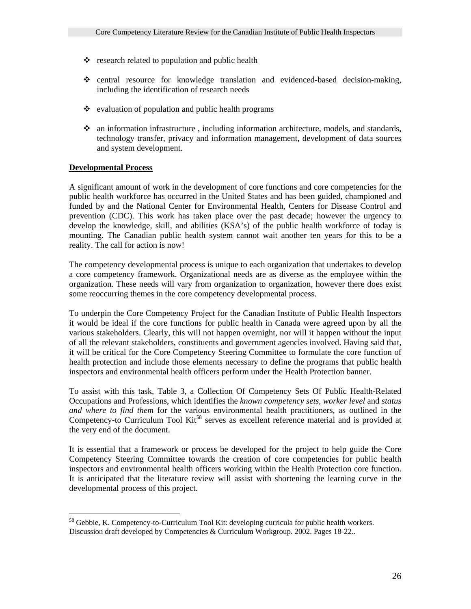- $\triangle$  research related to population and public health
- central resource for knowledge translation and evidenced-based decision-making, including the identification of research needs
- $\bullet$  evaluation of population and public health programs
- an information infrastructure , including information architecture, models, and standards, technology transfer, privacy and information management, development of data sources and system development.

## **Developmental Process**

 $\overline{a}$ 

A significant amount of work in the development of core functions and core competencies for the public health workforce has occurred in the United States and has been guided, championed and funded by and the National Center for Environmental Health, Centers for Disease Control and prevention (CDC). This work has taken place over the past decade; however the urgency to develop the knowledge, skill, and abilities (KSA's) of the public health workforce of today is mounting. The Canadian public health system cannot wait another ten years for this to be a reality. The call for action is now!

The competency developmental process is unique to each organization that undertakes to develop a core competency framework. Organizational needs are as diverse as the employee within the organization. These needs will vary from organization to organization, however there does exist some reoccurring themes in the core competency developmental process.

To underpin the Core Competency Project for the Canadian Institute of Public Health Inspectors it would be ideal if the core functions for public health in Canada were agreed upon by all the various stakeholders. Clearly, this will not happen overnight, nor will it happen without the input of all the relevant stakeholders, constituents and government agencies involved. Having said that, it will be critical for the Core Competency Steering Committee to formulate the core function of health protection and include those elements necessary to define the programs that public health inspectors and environmental health officers perform under the Health Protection banner.

To assist with this task, Table 3, a Collection Of Competency Sets Of Public Health-Related Occupations and Professions, which identifies the *known competency sets*, *worker level* and *status and where to find them* for the various environmental health practitioners, as outlined in the Competency-to Curriculum Tool Kit<sup>58</sup> serves as excellent reference material and is provided at the very end of the document.

It is essential that a framework or process be developed for the project to help guide the Core Competency Steering Committee towards the creation of core competencies for public health inspectors and environmental health officers working within the Health Protection core function. It is anticipated that the literature review will assist with shortening the learning curve in the developmental process of this project.

<span id="page-25-0"></span><sup>&</sup>lt;sup>58</sup> Gebbie, K. Competency-to-Curriculum Tool Kit: developing curricula for public health workers. Discussion draft developed by Competencies & Curriculum Workgroup. 2002. Pages 18-22..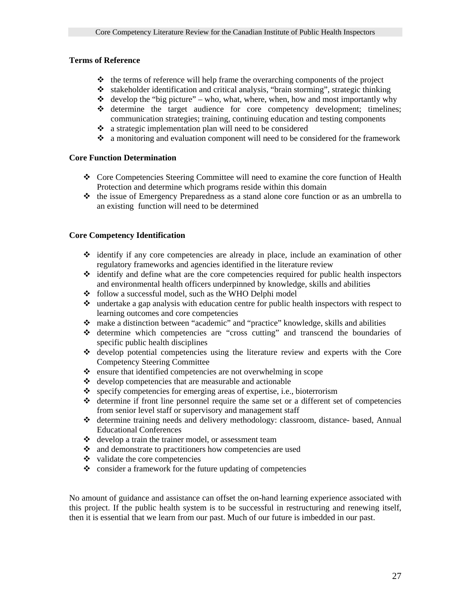## **Terms of Reference**

- $\triangleleft$  the terms of reference will help frame the overarching components of the project
- $\triangleleft$  stakeholder identification and critical analysis, "brain storming", strategic thinking
- $\triangleleft$  develop the "big picture" who, what, where, when, how and most importantly why
- $\div$  determine the target audience for core competency development; timelines; communication strategies; training, continuing education and testing components
- a strategic implementation plan will need to be considered
- a monitoring and evaluation component will need to be considered for the framework

### **Core Function Determination**

- Core Competencies Steering Committee will need to examine the core function of Health Protection and determine which programs reside within this domain
- $\cdot \cdot$  the issue of Emergency Preparedness as a stand alone core function or as an umbrella to an existing function will need to be determined

## **Core Competency Identification**

- $\cdot$  identify if any core competencies are already in place, include an examination of other regulatory frameworks and agencies identified in the literature review
- $\triangleleft$  identify and define what are the core competencies required for public health inspectors and environmental health officers underpinned by knowledge, skills and abilities
- $\div$  follow a successful model, such as the WHO Delphi model
- undertake a gap analysis with education centre for public health inspectors with respect to learning outcomes and core competencies
- make a distinction between "academic" and "practice" knowledge, skills and abilities
- determine which competencies are "cross cutting" and transcend the boundaries of specific public health disciplines
- develop potential competencies using the literature review and experts with the Core Competency Steering Committee
- $\triangle$  ensure that identified competencies are not overwhelming in scope
- $\triangleleft$  develop competencies that are measurable and actionable
- $\bullet$  specify competencies for emerging areas of expertise, i.e., bioterrorism
- $\triangleleft$  determine if front line personnel require the same set or a different set of competencies from senior level staff or supervisory and management staff
- determine training needs and delivery methodology: classroom, distance- based, Annual Educational Conferences
- develop a train the trainer model, or assessment team
- and demonstrate to practitioners how competencies are used
- $\cdot \cdot$  validate the core competencies
- $\bullet$  consider a framework for the future updating of competencies

No amount of guidance and assistance can offset the on-hand learning experience associated with this project. If the public health system is to be successful in restructuring and renewing itself, then it is essential that we learn from our past. Much of our future is imbedded in our past.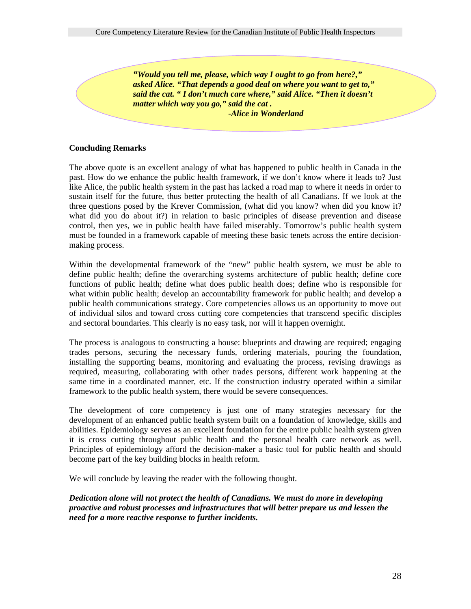*"Would you tell me, please, which way I ought to go from here?," asked Alice. "That depends a good deal on where you want to get to," said the cat. " I don't much care where," said Alice. "Then it doesn't matter which way you go," said the cat . -Alice in Wonderland*

#### **Concluding Remarks**

The above quote is an excellent analogy of what has happened to public health in Canada in the past. How do we enhance the public health framework, if we don't know where it leads to? Just like Alice, the public health system in the past has lacked a road map to where it needs in order to sustain itself for the future, thus better protecting the health of all Canadians. If we look at the three questions posed by the Krever Commission, (what did you know? when did you know it? what did you do about it?) in relation to basic principles of disease prevention and disease control, then yes, we in public health have failed miserably. Tomorrow's public health system must be founded in a framework capable of meeting these basic tenets across the entire decisionmaking process.

Within the developmental framework of the "new" public health system, we must be able to define public health; define the overarching systems architecture of public health; define core functions of public health; define what does public health does; define who is responsible for what within public health; develop an accountability framework for public health; and develop a public health communications strategy. Core competencies allows us an opportunity to move out of individual silos and toward cross cutting core competencies that transcend specific disciples and sectoral boundaries. This clearly is no easy task, nor will it happen overnight.

The process is analogous to constructing a house: blueprints and drawing are required; engaging trades persons, securing the necessary funds, ordering materials, pouring the foundation, installing the supporting beams, monitoring and evaluating the process, revising drawings as required, measuring, collaborating with other trades persons, different work happening at the same time in a coordinated manner, etc. If the construction industry operated within a similar framework to the public health system, there would be severe consequences.

The development of core competency is just one of many strategies necessary for the development of an enhanced public health system built on a foundation of knowledge, skills and abilities. Epidemiology serves as an excellent foundation for the entire public health system given it is cross cutting throughout public health and the personal health care network as well. Principles of epidemiology afford the decision-maker a basic tool for public health and should become part of the key building blocks in health reform.

We will conclude by leaving the reader with the following thought.

*Dedication alone will not protect the health of Canadians. We must do more in developing proactive and robust processes and infrastructures that will better prepare us and lessen the need for a more reactive response to further incidents.*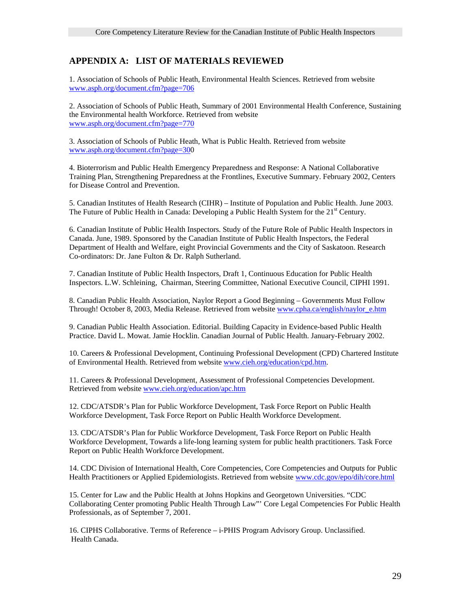# **APPENDIX A: LIST OF MATERIALS REVIEWED**

1. Association of Schools of Public Heath, Environmental Health Sciences. Retrieved from website [www.asph.org/document.cfm?page=706](http://www.asph.org/document.cfm?page=706)

2. Association of Schools of Public Heath, Summary of 2001 Environmental Health Conference, Sustaining the Environmental health Workforce. Retrieved from website [www.asph.org/document.cfm?page=770](http://www.asph.org/document.cfm?page=770)

3. Association of Schools of Public Heath, What is Public Health. Retrieved from website [www.asph.org/document.cfm?page=300](http://www.asph.org/document.cfm?page=706)

4. Bioterrorism and Public Health Emergency Preparedness and Response: A National Collaborative Training Plan, Strengthening Preparedness at the Frontlines, Executive Summary. February 2002, Centers for Disease Control and Prevention.

5. Canadian Institutes of Health Research (CIHR) – Institute of Population and Public Health. June 2003. The Future of Public Health in Canada: Developing a Public Health System for the  $21<sup>st</sup>$  Century.

6. Canadian Institute of Public Health Inspectors. Study of the Future Role of Public Health Inspectors in Canada. June, 1989. Sponsored by the Canadian Institute of Public Health Inspectors, the Federal Department of Health and Welfare, eight Provincial Governments and the City of Saskatoon. Research Co-ordinators: Dr. Jane Fulton & Dr. Ralph Sutherland.

7. Canadian Institute of Public Health Inspectors, Draft 1, Continuous Education for Public Health Inspectors. L.W. Schleining, Chairman, Steering Committee, National Executive Council, CIPHI 1991.

8. Canadian Public Health Association, Naylor Report a Good Beginning – Governments Must Follow Through! October 8, 2003, Media Release. Retrieved from website [www.cpha.ca/english/naylor\\_e.htm](http://www.cpha.ca/english/naylor_e.htm)

9. Canadian Public Health Association. Editorial. Building Capacity in Evidence-based Public Health Practice. David L. Mowat. Jamie Hocklin. Canadian Journal of Public Health. January-February 2002.

10. Careers & Professional Development, Continuing Professional Development (CPD) Chartered Institute of Environmental Health. Retrieved from website [www.cieh.org/education/cpd.htm](http://www.cieh.org/education/cpd.htm).

11. Careers & Professional Development, Assessment of Professional Competencies Development. Retrieved from website [www.cieh.org/education/apc.htm](http://www.cieh.org/education/apc.htm)

12. CDC/ATSDR's Plan for Public Workforce Development, Task Force Report on Public Health Workforce Development, Task Force Report on Public Health Workforce Development.

13. CDC/ATSDR's Plan for Public Workforce Development, Task Force Report on Public Health Workforce Development, Towards a life-long learning system for public health practitioners. Task Force Report on Public Health Workforce Development.

14. CDC Division of International Health, Core Competencies, Core Competencies and Outputs for Public Health Practitioners or Applied Epidemiologists. Retrieved from website [www.cdc.gov/epo/dih/core.html](http://www.cdc.gov/epo/dih/core.html)

15. Center for Law and the Public Health at Johns Hopkins and Georgetown Universities. "CDC Collaborating Center promoting Public Health Through Law"' Core Legal Competencies For Public Health Professionals, as of September 7, 2001.

16. CIPHS Collaborative. Terms of Reference – i-PHIS Program Advisory Group. Unclassified. Health Canada.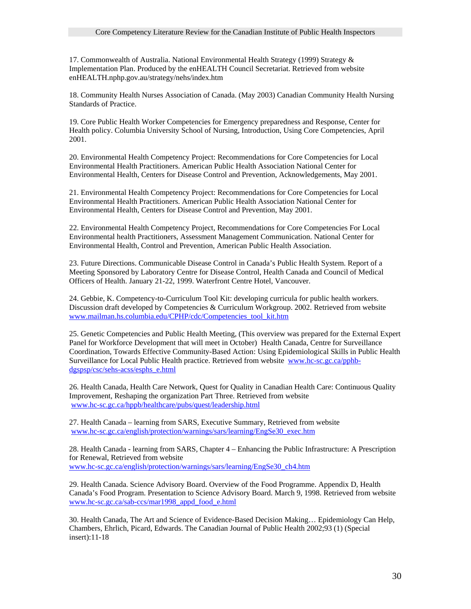17. Commonwealth of Australia. National Environmental Health Strategy (1999) Strategy & Implementation Plan. Produced by the enHEALTH Council Secretariat. Retrieved from website enHEALTH.nphp.gov.au/strategy/nehs/index.htm

18. Community Health Nurses Association of Canada. (May 2003) Canadian Community Health Nursing Standards of Practice.

19. Core Public Health Worker Competencies for Emergency preparedness and Response, Center for Health policy. Columbia University School of Nursing, Introduction, Using Core Competencies, April 2001.

20. Environmental Health Competency Project: Recommendations for Core Competencies for Local Environmental Health Practitioners. American Public Health Association National Center for Environmental Health, Centers for Disease Control and Prevention, Acknowledgements, May 2001.

21. Environmental Health Competency Project: Recommendations for Core Competencies for Local Environmental Health Practitioners. American Public Health Association National Center for Environmental Health, Centers for Disease Control and Prevention, May 2001.

22. Environmental Health Competency Project, Recommendations for Core Competencies For Local Environmental health Practitioners, Assessment Management Communication. National Center for Environmental Health, Control and Prevention, American Public Health Association.

23. Future Directions. Communicable Disease Control in Canada's Public Health System. Report of a Meeting Sponsored by Laboratory Centre for Disease Control, Health Canada and Council of Medical Officers of Health. January 21-22, 1999. Waterfront Centre Hotel, Vancouver.

24. Gebbie, K. Competency-to-Curriculum Tool Kit: developing curricula for public health workers. Discussion draft developed by Competencies & Curriculum Workgroup. 2002. Retrieved from website [www.mailman.hs.columbia.edu/CPHP/cdc/Competencies\\_tool\\_kit.htm](http://www.mailman.hs.columbia.edu/CPHP/cdc/Competencies_tool_kit.htm)

25. Genetic Competencies and Public Health Meeting, (This overview was prepared for the External Expert Panel for Workforce Development that will meet in October) Health Canada, Centre for Surveillance Coordination, Towards Effective Community-Based Action: Using Epidemiological Skills in Public Health Surveillance for Local Public Health practice. Retrieved from website [www.hc-sc.gc.ca/pphb](http://www.hc-sc.gc.ca/pphb-dgspsp/csc/sehs-acss/esphs_e.html)[dgspsp/csc/sehs-acss/esphs\\_e.html](http://www.hc-sc.gc.ca/pphb-dgspsp/csc/sehs-acss/esphs_e.html)

26. Health Canada, Health Care Network, Quest for Quality in Canadian Health Care: Continuous Quality Improvement, Reshaping the organization Part Three. Retrieved from website [www.hc-sc.gc.ca/hppb/healthcare/pubs/quest/leadership.html](http://www.hc-sc.gc.ca/hppb/healthcare/pubs/quest/leadership.html)

27. Health Canada – learning from SARS, Executive Summary, Retrieved from website [www.hc-sc.gc.ca/english/protection/warnings/sars/learning/EngSe30\\_exec.htm](http://www.hc-sc.gc.ca/english/protection/warnings/sars/learning/EngSe30_exec.htm)

28. Health Canada - learning from SARS, Chapter 4 – Enhancing the Public Infrastructure: A Prescription for Renewal, Retrieved from website [www.hc-sc.gc.ca/english/protection/warnings/sars/learning/EngSe30\\_ch4.htm](http://www.hc-sc.gc.ca/english/protection/warnings/sars/learning/EngSe30_ch4.htm)

29. Health Canada. Science Advisory Board. Overview of the Food Programme. Appendix D, Health Canada's Food Program. Presentation to Science Advisory Board. March 9, 1998. Retrieved from website [www.hc-sc.gc.ca/sab-ccs/mar1998\\_appd\\_food\\_e.html](http://www.hc-sc.gc.ca/sab-ccs/mar1998_appd_food_e.html)

30. Health Canada, The Art and Science of Evidence-Based Decision Making… Epidemiology Can Help, Chambers, Ehrlich, Picard, Edwards. The Canadian Journal of Public Health 2002;93 (1) (Special insert):11-18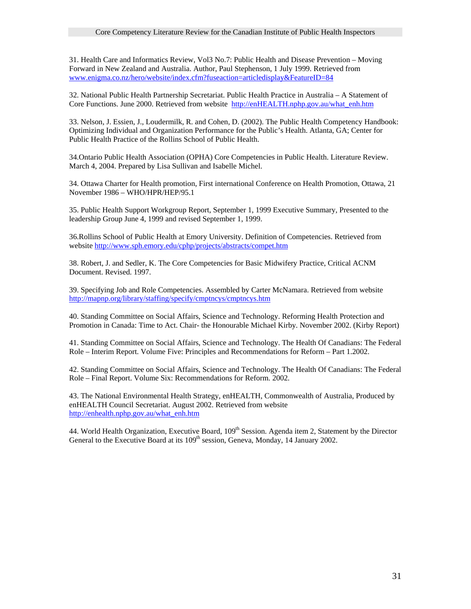31. Health Care and Informatics Review, Vol3 No.7: Public Health and Disease Prevention – Moving Forward in New Zealand and Australia. Author, Paul Stephenson, 1 July 1999. Retrieved from [www.enigma.co.nz/hero/website/index.cfm?fuseaction=articledisplay&FeatureID=84](http://www.enigma.co.nz/hero/website/index.cfm?fuseaction=articledisplay&FeatureID=84)

32. National Public Health Partnership Secretariat. Public Health Practice in Australia – A Statement of Core Functions. June 2000. Retrieved from website [http://enHEALTH.nphp.gov.au/what\\_enh.htm](http://enhealth.nphp.gov.au/what_enh.htm)

33. Nelson, J. Essien, J., Loudermilk, R. and Cohen, D. (2002). The Public Health Competency Handbook: Optimizing Individual and Organization Performance for the Public's Health. Atlanta, GA; Center for Public Health Practice of the Rollins School of Public Health.

34.Ontario Public Health Association (OPHA) Core Competencies in Public Health. Literature Review. March 4, 2004. Prepared by Lisa Sullivan and Isabelle Michel.

34. Ottawa Charter for Health promotion, First international Conference on Health Promotion, Ottawa, 21 November 1986 – WHO/HPR/HEP/95.1

35. Public Health Support Workgroup Report, September 1, 1999 Executive Summary, Presented to the leadership Group June 4, 1999 and revised September 1, 1999.

36.Rollins School of Public Health at Emory University. Definition of Competencies. Retrieved from website<http://www.sph.emory.edu/cphp/projects/abstracts/compet.htm>

38. Robert, J. and Sedler, K. The Core Competencies for Basic Midwifery Practice, Critical ACNM Document. Revised. 1997.

39. Specifying Job and Role Competencies. Assembled by Carter McNamara. Retrieved from website <http://mapnp.org/library/staffing/specify/cmptncys/cmptncys.htm>

40. Standing Committee on Social Affairs, Science and Technology. Reforming Health Protection and Promotion in Canada: Time to Act. Chair- the Honourable Michael Kirby. November 2002. (Kirby Report)

41. Standing Committee on Social Affairs, Science and Technology. The Health Of Canadians: The Federal Role – Interim Report. Volume Five: Principles and Recommendations for Reform – Part 1.2002.

42. Standing Committee on Social Affairs, Science and Technology. The Health Of Canadians: The Federal Role – Final Report. Volume Six: Recommendations for Reform. 2002.

43. The National Environmental Health Strategy, enHEALTH, Commonwealth of Australia, Produced by enHEALTH Council Secretariat. August 2002. Retrieved from website [http://enhealth.nphp.gov.au/what\\_enh.htm](http://enhealth.nphp.gov.au/what_enh.htm)

44. World Health Organization, Executive Board, 109<sup>th</sup> Session. Agenda item 2, Statement by the Director General to the Executive Board at its 109<sup>th</sup> session, Geneva, Monday, 14 January 2002.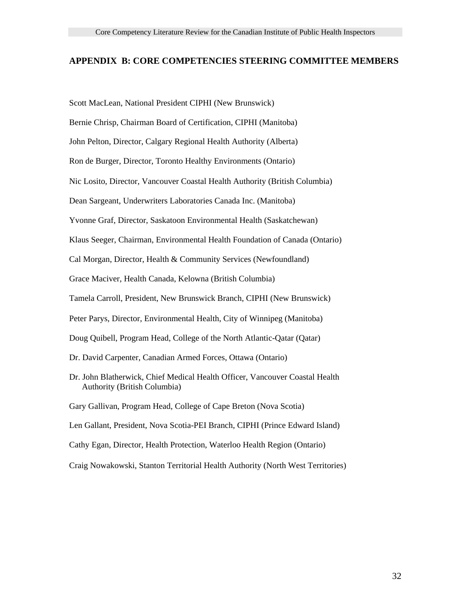#### **APPENDIX B: CORE COMPETENCIES STEERING COMMITTEE MEMBERS**

Scott MacLean, National President CIPHI (New Brunswick)

Bernie Chrisp, Chairman Board of Certification, CIPHI (Manitoba)

John Pelton, Director, Calgary Regional Health Authority (Alberta)

Ron de Burger, Director, Toronto Healthy Environments (Ontario)

Nic Losito, Director, Vancouver Coastal Health Authority (British Columbia)

Dean Sargeant, Underwriters Laboratories Canada Inc. (Manitoba)

Yvonne Graf, Director, Saskatoon Environmental Health (Saskatchewan)

Klaus Seeger, Chairman, Environmental Health Foundation of Canada (Ontario)

Cal Morgan, Director, Health & Community Services (Newfoundland)

Grace Maciver, Health Canada, Kelowna (British Columbia)

Tamela Carroll, President, New Brunswick Branch, CIPHI (New Brunswick)

Peter Parys, Director, Environmental Health, City of Winnipeg (Manitoba)

Doug Quibell, Program Head, College of the North Atlantic-Qatar (Qatar)

- Dr. David Carpenter, Canadian Armed Forces, Ottawa (Ontario)
- Dr. John Blatherwick, Chief Medical Health Officer, Vancouver Coastal Health Authority (British Columbia)

Gary Gallivan, Program Head, College of Cape Breton (Nova Scotia)

Len Gallant, President, Nova Scotia-PEI Branch, CIPHI (Prince Edward Island)

Cathy Egan, Director, Health Protection, Waterloo Health Region (Ontario)

Craig Nowakowski, Stanton Territorial Health Authority (North West Territories)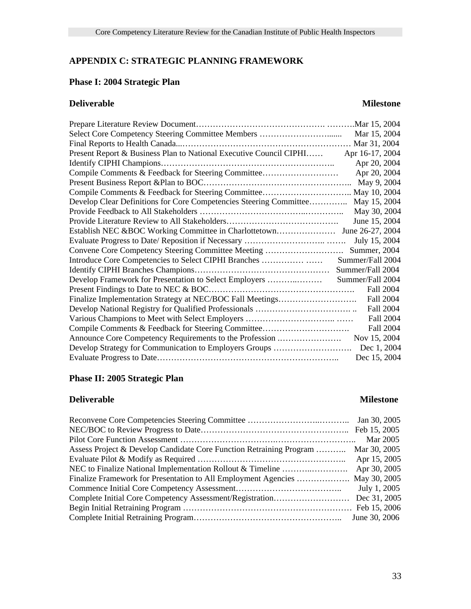# **APPENDIX C: STRATEGIC PLANNING FRAMEWORK**

# **Phase I: 2004 Strategic Plan**

# **Deliverable Milestone**

|                                                                    | Mar 15, 2004     |
|--------------------------------------------------------------------|------------------|
|                                                                    | Mar 31, 2004     |
| Present Report & Business Plan to National Executive Council CIPHI | Apr 16-17, 2004  |
|                                                                    | Apr 20, 2004     |
| Compile Comments & Feedback for Steering Committee                 | Apr 20, 2004     |
|                                                                    | May 9, 2004      |
|                                                                    |                  |
| Develop Clear Definitions for Core Competencies Steering Committee | May 15, 2004     |
|                                                                    | May 30, 2004     |
|                                                                    | June 15, 2004    |
|                                                                    |                  |
|                                                                    | July 15, 2004    |
| Convene Core Competency Steering Committee Meeting                 | Summer, 2004     |
| Introduce Core Competencies to Select CIPHI Branches               | Summer/Fall 2004 |
|                                                                    | Summer/Fall 2004 |
| Develop Framework for Presentation to Select Employers             | Summer/Fall 2004 |
|                                                                    | <b>Fall 2004</b> |
| Finalize Implementation Strategy at NEC/BOC Fall Meetings          | <b>Fall 2004</b> |
|                                                                    | <b>Fall 2004</b> |
|                                                                    | <b>Fall 2004</b> |
| Compile Comments & Feedback for Steering Committee                 | <b>Fall 2004</b> |
| Announce Core Competency Requirements to the Profession            | Nov 15, 2004     |
| Develop Strategy for Communication to Employers Groups             | Dec 1, 2004      |
|                                                                    | Dec 15, 2004     |
|                                                                    |                  |

# **Phase II: 2005 Strategic Plan**

# **Deliverable Milestone**

|                                                                     | Jan 30, 2005  |
|---------------------------------------------------------------------|---------------|
|                                                                     |               |
|                                                                     | Mar 2005      |
| Assess Project & Develop Candidate Core Function Retraining Program | Mar 30, 2005  |
|                                                                     | Apr 15, 2005  |
|                                                                     | Apr 30, 2005  |
| Finalize Framework for Presentation to All Employment Agencies      | May 30, 2005  |
|                                                                     | July 1, 2005  |
| Complete Initial Core Competency Assessment/Registration            | Dec 31, 2005  |
|                                                                     |               |
|                                                                     | June 30, 2006 |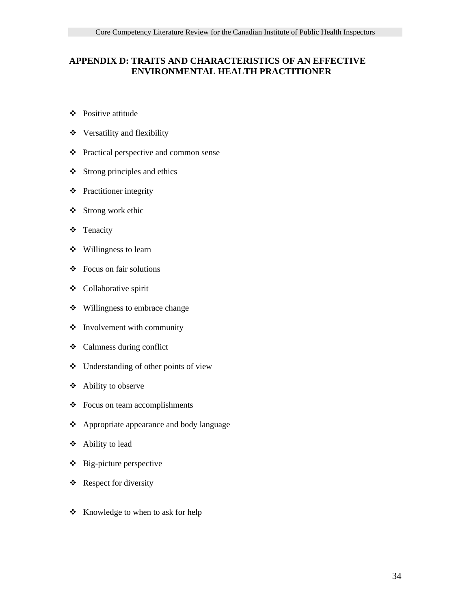## **APPENDIX D: TRAITS AND CHARACTERISTICS OF AN EFFECTIVE ENVIRONMENTAL HEALTH PRACTITIONER**

- ❖ Positive attitude
- Versatility and flexibility
- Practical perspective and common sense
- Strong principles and ethics
- $\triangle$  Practitioner integrity
- $\triangleleft$  Strong work ethic
- Tenacity
- Willingness to learn
- $\div$  Focus on fair solutions
- Collaborative spirit
- Willingness to embrace change
- $\triangleleft$  Involvement with community
- Calmness during conflict
- Understanding of other points of view
- Ability to observe
- Focus on team accomplishments
- ❖ Appropriate appearance and body language
- Ability to lead
- Big-picture perspective
- $\triangle$  Respect for diversity
- ❖ Knowledge to when to ask for help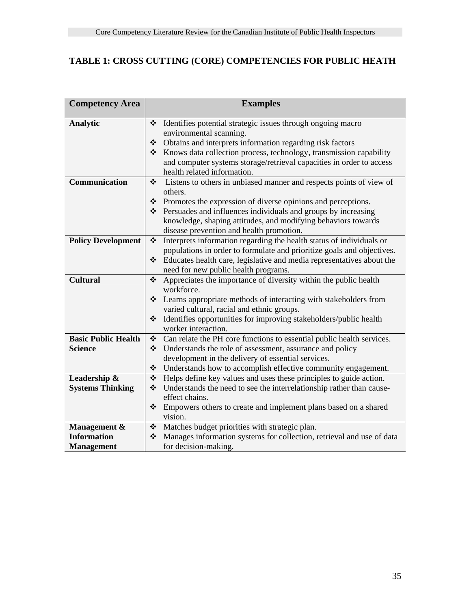# **TABLE 1: CROSS CUTTING (CORE) COMPETENCIES FOR PUBLIC HEATH**

| <b>Competency Area</b>     | <b>Examples</b>                                                            |  |  |
|----------------------------|----------------------------------------------------------------------------|--|--|
|                            |                                                                            |  |  |
| <b>Analytic</b>            | ❖<br>Identifies potential strategic issues through ongoing macro           |  |  |
|                            | environmental scanning.                                                    |  |  |
|                            | Obtains and interprets information regarding risk factors<br>❖             |  |  |
|                            | Knows data collection process, technology, transmission capability<br>❖    |  |  |
|                            | and computer systems storage/retrieval capacities in order to access       |  |  |
|                            | health related information.                                                |  |  |
| Communication              | ❖<br>Listens to others in unbiased manner and respects points of view of   |  |  |
|                            | others.                                                                    |  |  |
|                            | Promotes the expression of diverse opinions and perceptions.               |  |  |
|                            | $\triangle$ Persuades and influences individuals and groups by increasing  |  |  |
|                            | knowledge, shaping attitudes, and modifying behaviors towards              |  |  |
|                            | disease prevention and health promotion.                                   |  |  |
| <b>Policy Development</b>  | Interprets information regarding the health status of individuals or<br>❖  |  |  |
|                            | populations in order to formulate and prioritize goals and objectives.     |  |  |
|                            | Educates health care, legislative and media representatives about the<br>❖ |  |  |
|                            | need for new public health programs.                                       |  |  |
| <b>Cultural</b>            | Appreciates the importance of diversity within the public health<br>❖      |  |  |
|                            | workforce.                                                                 |  |  |
|                            | Learns appropriate methods of interacting with stakeholders from<br>❖      |  |  |
|                            | varied cultural, racial and ethnic groups.                                 |  |  |
|                            | Identifies opportunities for improving stakeholders/public health<br>❖     |  |  |
|                            | worker interaction.                                                        |  |  |
| <b>Basic Public Health</b> | Can relate the PH core functions to essential public health services.<br>❖ |  |  |
| <b>Science</b>             | Understands the role of assessment, assurance and policy<br>❖              |  |  |
|                            | development in the delivery of essential services.                         |  |  |
|                            | ❖<br>Understands how to accomplish effective community engagement.         |  |  |
| Leadership &               | ❖<br>Helps define key values and uses these principles to guide action.    |  |  |
| <b>Systems Thinking</b>    | Understands the need to see the interrelationship rather than cause-<br>❖  |  |  |
|                            | effect chains.                                                             |  |  |
|                            | ❖<br>Empowers others to create and implement plans based on a shared       |  |  |
|                            | vision.                                                                    |  |  |
| Management &               | Matches budget priorities with strategic plan.<br>❖                        |  |  |
| <b>Information</b>         | ❖<br>Manages information systems for collection, retrieval and use of data |  |  |
| <b>Management</b>          | for decision-making.                                                       |  |  |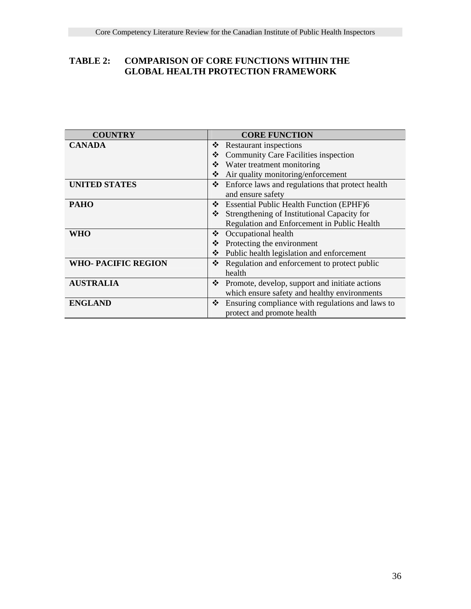# **TABLE 2: COMPARISON OF CORE FUNCTIONS WITHIN THE GLOBAL HEALTH PROTECTION FRAMEWORK**

| <b>COUNTRY</b>             | <b>CORE FUNCTION</b>                                  |
|----------------------------|-------------------------------------------------------|
| <b>CANADA</b>              | <b>Restaurant inspections</b><br>❖                    |
|                            | <b>Community Care Facilities inspection</b><br>❖      |
|                            | Water treatment monitoring<br>❖                       |
|                            | Air quality monitoring/enforcement<br>❖               |
| <b>UNITED STATES</b>       | Enforce laws and regulations that protect health<br>❖ |
|                            | and ensure safety                                     |
| <b>PAHO</b>                | <b>Essential Public Health Function (EPHF)6</b><br>❖  |
|                            | Strengthening of Institutional Capacity for<br>❖      |
|                            | Regulation and Enforcement in Public Health           |
| WHO                        | Occupational health<br>❖                              |
|                            | Protecting the environment<br>❖                       |
|                            | Public health legislation and enforcement<br>❖        |
| <b>WHO- PACIFIC REGION</b> | Regulation and enforcement to protect public<br>❖     |
|                            | health                                                |
| <b>AUSTRALIA</b>           | Promote, develop, support and initiate actions<br>❖   |
|                            | which ensure safety and healthy environments          |
| <b>ENGLAND</b>             | Ensuring compliance with regulations and laws to<br>❖ |
|                            | protect and promote health                            |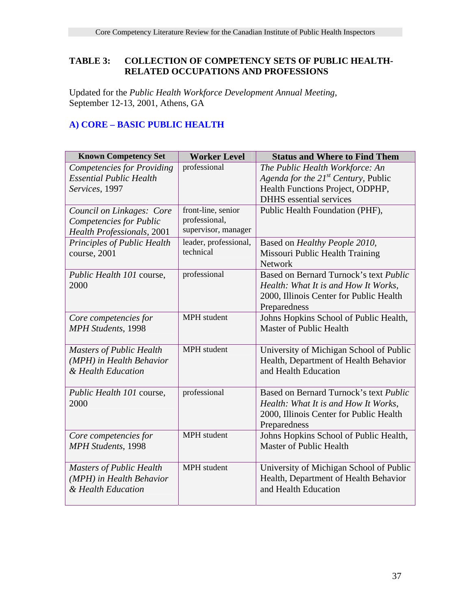# **TABLE 3: COLLECTION OF COMPETENCY SETS OF PUBLIC HEALTH- RELATED OCCUPATIONS AND PROFESSIONS**

Updated for the *Public Health Workforce Development Annual Meeting*, September 12-13, 2001, Athens, GA

# **A) CORE – BASIC PUBLIC HEALTH**

| <b>Known Competency Set</b>                         | <b>Worker Level</b>   | <b>Status and Where to Find Them</b>                   |
|-----------------------------------------------------|-----------------------|--------------------------------------------------------|
| <b>Competencies for Providing</b>                   | professional          | The Public Health Workforce: An                        |
| <b>Essential Public Health</b>                      |                       | Agenda for the $21^{st}$ Century, Public               |
| Services, 1997                                      |                       | Health Functions Project, ODPHP,                       |
|                                                     |                       | <b>DHHS</b> essential services                         |
| Council on Linkages: Core                           | front-line, senior    | Public Health Foundation (PHF),                        |
| <b>Competencies for Public</b>                      | professional,         |                                                        |
| <b>Health Professionals</b> , 2001                  | supervisor, manager   |                                                        |
| Principles of Public Health                         | leader, professional, | Based on Healthy People 2010,                          |
| course, 2001                                        | technical             | Missouri Public Health Training                        |
|                                                     |                       | <b>Network</b>                                         |
| Public Health 101 course,                           | professional          | Based on Bernard Turnock's text <i>Public</i>          |
| 2000                                                |                       | Health: What It is and How It Works,                   |
|                                                     |                       | 2000, Illinois Center for Public Health                |
|                                                     |                       | Preparedness                                           |
| Core competencies for                               | <b>MPH</b> student    | Johns Hopkins School of Public Health,                 |
| <b>MPH Students</b> , 1998                          |                       | Master of Public Health                                |
|                                                     |                       |                                                        |
| <b>Masters of Public Health</b>                     | MPH student           | University of Michigan School of Public                |
| (MPH) in Health Behavior                            |                       | Health, Department of Health Behavior                  |
| & Health Education                                  |                       | and Health Education                                   |
|                                                     | professional          | Based on Bernard Turnock's text <i>Public</i>          |
| Public Health 101 course,<br>2000                   |                       |                                                        |
|                                                     |                       | Health: What It is and How It Works,                   |
|                                                     |                       | 2000, Illinois Center for Public Health                |
|                                                     | <b>MPH</b> student    | Preparedness<br>Johns Hopkins School of Public Health, |
| Core competencies for<br><b>MPH Students</b> , 1998 |                       | Master of Public Health                                |
|                                                     |                       |                                                        |
| <b>Masters of Public Health</b>                     | MPH student           | University of Michigan School of Public                |
| (MPH) in Health Behavior                            |                       | Health, Department of Health Behavior                  |
| & Health Education                                  |                       | and Health Education                                   |
|                                                     |                       |                                                        |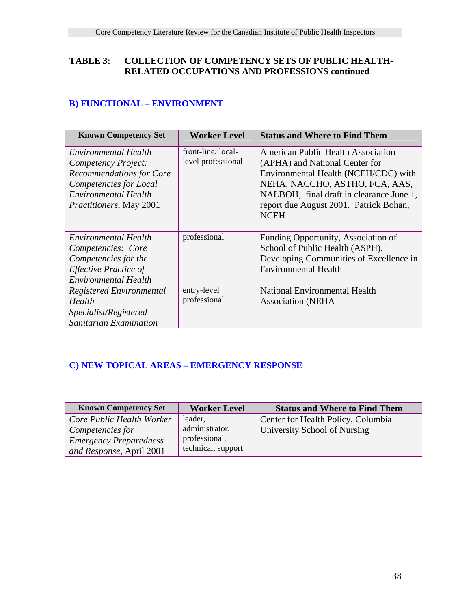# **TABLE 3: COLLECTION OF COMPETENCY SETS OF PUBLIC HEALTH- RELATED OCCUPATIONS AND PROFESSIONS continued**

# **B) FUNCTIONAL – ENVIRONMENT**

| <b>Known Competency Set</b>     | <b>Worker Level</b> | <b>Status and Where to Find Them</b>      |
|---------------------------------|---------------------|-------------------------------------------|
| Environmental Health            | front-line, local-  | <b>American Public Health Association</b> |
| Competency Project:             | level professional  | (APHA) and National Center for            |
| <b>Recommendations for Core</b> |                     | Environmental Health (NCEH/CDC) with      |
| Competencies for Local          |                     | NEHA, NACCHO, ASTHO, FCA, AAS,            |
| Environmental Health            |                     | NALBOH, final draft in clearance June 1,  |
| <i>Practitioners, May 2001</i>  |                     | report due August 2001. Patrick Bohan,    |
|                                 |                     | <b>NCEH</b>                               |
|                                 |                     |                                           |
| Environmental Health            | professional        | Funding Opportunity, Association of       |
| Competencies: Core              |                     | School of Public Health (ASPH),           |
| Competencies for the            |                     | Developing Communities of Excellence in   |
| <b>Effective Practice of</b>    |                     | <b>Environmental Health</b>               |
| <b>Environmental Health</b>     |                     |                                           |
| Registered Environmental        | entry-level         | National Environmental Health             |
| Health                          | professional        | <b>Association (NEHA</b>                  |
| Specialist/Registered           |                     |                                           |
| Sanitarian Examination          |                     |                                           |

# **C) NEW TOPICAL AREAS – EMERGENCY RESPONSE**

| <b>Known Competency Set</b>   | <b>Worker Level</b> | <b>Status and Where to Find Them</b> |
|-------------------------------|---------------------|--------------------------------------|
| Core Public Health Worker     | leader,             | Center for Health Policy, Columbia   |
| Competencies for              | administrator,      | University School of Nursing         |
| <b>Emergency Preparedness</b> | professional,       |                                      |
| and Response, April 2001      | technical, support  |                                      |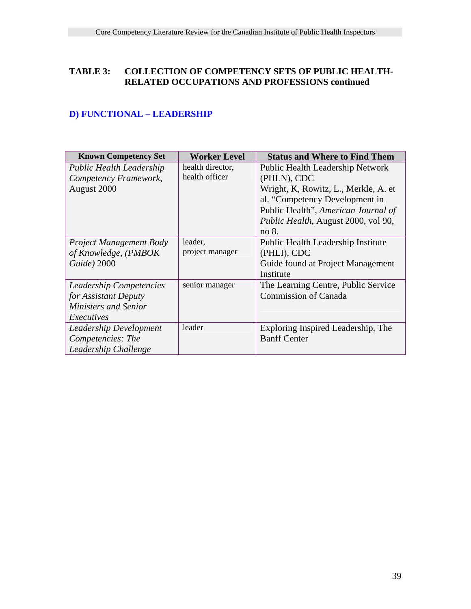# **TABLE 3: COLLECTION OF COMPETENCY SETS OF PUBLIC HEALTH- RELATED OCCUPATIONS AND PROFESSIONS continued**

# **D) FUNCTIONAL – LEADERSHIP**

| <b>Known Competency Set</b>     | <b>Worker Level</b> | <b>Status and Where to Find Them</b>    |
|---------------------------------|---------------------|-----------------------------------------|
| <b>Public Health Leadership</b> | health director,    | <b>Public Health Leadership Network</b> |
| Competency Framework,           | health officer      | (PHLN), CDC                             |
| August 2000                     |                     | Wright, K, Rowitz, L., Merkle, A. et    |
|                                 |                     | al. "Competency Development in          |
|                                 |                     | Public Health", American Journal of     |
|                                 |                     | Public Health, August 2000, vol 90,     |
|                                 |                     | no 8.                                   |
| <b>Project Management Body</b>  | leader,             | Public Health Leadership Institute      |
| of Knowledge, (PMBOK            | project manager     | (PHLI), CDC                             |
| Guide) 2000                     |                     | Guide found at Project Management       |
|                                 |                     | Institute                               |
| Leadership Competencies         | senior manager      | The Learning Centre, Public Service     |
| for Assistant Deputy            |                     | <b>Commission of Canada</b>             |
| Ministers and Senior            |                     |                                         |
| Executives                      |                     |                                         |
| Leadership Development          | leader              | Exploring Inspired Leadership, The      |
| Competencies: The               |                     | <b>Banff Center</b>                     |
| Leadership Challenge            |                     |                                         |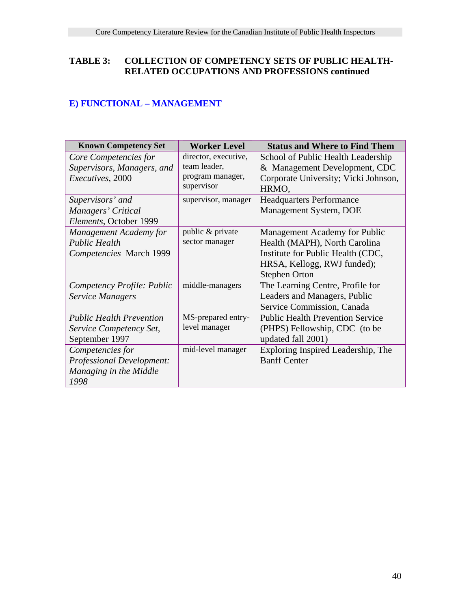# **TABLE 3: COLLECTION OF COMPETENCY SETS OF PUBLIC HEALTH- RELATED OCCUPATIONS AND PROFESSIONS continued**

# **E) FUNCTIONAL – MANAGEMENT**

| <b>Known Competency Set</b>                                                            | <b>Worker Level</b>                                                    | <b>Status and Where to Find Them</b>                                                                                                                       |
|----------------------------------------------------------------------------------------|------------------------------------------------------------------------|------------------------------------------------------------------------------------------------------------------------------------------------------------|
| Core Competencies for<br>Supervisors, Managers, and<br>Executives, 2000                | director, executive,<br>team leader,<br>program manager,<br>supervisor | School of Public Health Leadership<br>& Management Development, CDC<br>Corporate University; Vicki Johnson,<br>HRMO,                                       |
| Supervisors' and<br>Managers' Critical<br>Elements, October 1999                       | supervisor, manager                                                    | <b>Headquarters Performance</b><br>Management System, DOE                                                                                                  |
| <b>Management Academy for</b><br><b>Public Health</b><br>Competencies March 1999       | public & private<br>sector manager                                     | Management Academy for Public<br>Health (MAPH), North Carolina<br>Institute for Public Health (CDC,<br>HRSA, Kellogg, RWJ funded);<br><b>Stephen Orton</b> |
| Competency Profile: Public<br><b>Service Managers</b>                                  | middle-managers                                                        | The Learning Centre, Profile for<br>Leaders and Managers, Public<br>Service Commission, Canada                                                             |
| <b>Public Health Prevention</b><br>Service Competency Set,<br>September 1997           | MS-prepared entry-<br>level manager                                    | <b>Public Health Prevention Service</b><br>(PHPS) Fellowship, CDC (to be<br>updated fall 2001)                                                             |
| Competencies for<br><b>Professional Development:</b><br>Managing in the Middle<br>1998 | mid-level manager                                                      | Exploring Inspired Leadership, The<br><b>Banff Center</b>                                                                                                  |